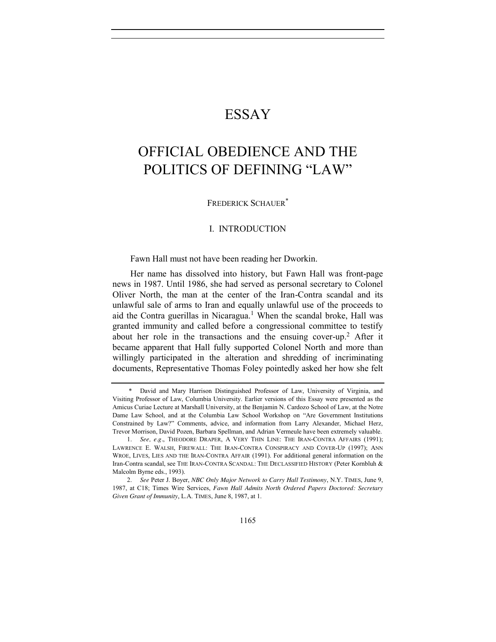## ESSAY

# OFFICIAL OBEDIENCE AND THE POLITICS OF DEFINING "LAW"

FREDERICK SCHAUER\*

## I. INTRODUCTION

Fawn Hall must not have been reading her Dworkin.

Her name has dissolved into history, but Fawn Hall was front-page news in 1987. Until 1986, she had served as personal secretary to Colonel Oliver North, the man at the center of the Iran-Contra scandal and its unlawful sale of arms to Iran and equally unlawful use of the proceeds to aid the Contra guerillas in Nicaragua.<sup>1</sup> When the scandal broke, Hall was granted immunity and called before a congressional committee to testify about her role in the transactions and the ensuing cover-up.<sup>2</sup> After it became apparent that Hall fully supported Colonel North and more than willingly participated in the alteration and shredding of incriminating documents, Representative Thomas Foley pointedly asked her how she felt

<sup>\*</sup> David and Mary Harrison Distinguished Professor of Law, University of Virginia, and Visiting Professor of Law, Columbia University. Earlier versions of this Essay were presented as the Amicus Curiae Lecture at Marshall University, at the Benjamin N. Cardozo School of Law, at the Notre Dame Law School, and at the Columbia Law School Workshop on "Are Government Institutions Constrained by Law?" Comments, advice, and information from Larry Alexander, Michael Herz, Trevor Morrison, David Pozen, Barbara Spellman, and Adrian Vermeule have been extremely valuable.

<sup>1.</sup> *See, e.g.*, THEODORE DRAPER, A VERY THIN LINE: THE IRAN-CONTRA AFFAIRS (1991); LAWRENCE E. WALSH, FIREWALL: THE IRAN-CONTRA CONSPIRACY AND COVER-UP (1997); ANN WROE, LIVES, LIES AND THE IRAN-CONTRA AFFAIR (1991). For additional general information on the Iran-Contra scandal, see THE IRAN-CONTRA SCANDAL: THE DECLASSIFIED HISTORY (Peter Kornbluh & Malcolm Byrne eds., 1993).

<sup>2.</sup> *See* Peter J. Boyer, *NBC Only Major Network to Carry Hall Testimony*, N.Y. TIMES, June 9, 1987, at C18; Times Wire Services, *Fawn Hall Admits North Ordered Papers Doctored: Secretary Given Grant of Immunity*, L.A. TIMES, June 8, 1987, at 1.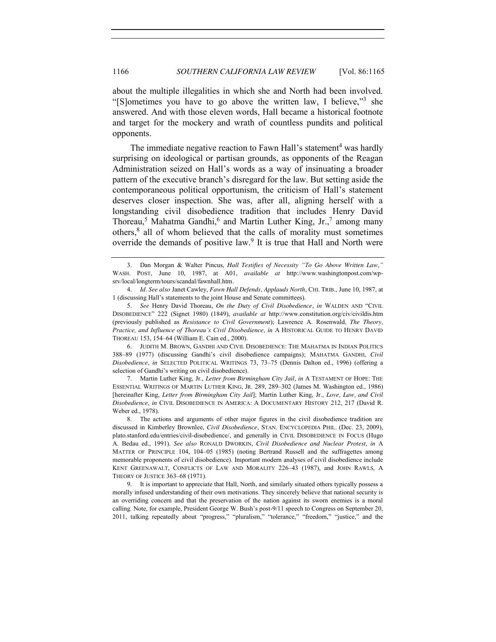about the multiple illegalities in which she and North had been involved. "[S]ometimes you have to go above the written law, I believe,"<sup>3</sup> she answered. And with those eleven words, Hall became a historical footnote and target for the mockery and wrath of countless pundits and political opponents.

The immediate negative reaction to Fawn Hall's statement<sup>4</sup> was hardly surprising on ideological or partisan grounds, as opponents of the Reagan Administration seized on Hall's words as a way of insinuating a broader pattern of the executive branch's disregard for the law. But setting aside the contemporaneous political opportunism, the criticism of Hall's statement deserves closer inspection. She was, after all, aligning herself with a longstanding civil disobedience tradition that includes Henry David Thoreau,<sup>5</sup> Mahatma Gandhi,<sup>6</sup> and Martin Luther King, Jr.,<sup>7</sup> among many others,8 all of whom believed that the calls of morality must sometimes override the demands of positive law.9 It is true that Hall and North were

4. *Id. See also* Janet Cawley, *Fawn Hall Defends, Applauds North*, CHI. TRIB., June 10, 1987, at 1 (discussing Hall's statements to the joint House and Senate committees).

5. *See* Henry David Thoreau, *On the Duty of Civil Disobedience*, *in* WALDEN AND "CIVIL DISOBEDIENCE" 222 (Signet 1980) (1849), *available at* http://www.constitution.org/civ/civildis.htm (previously published as *Resistance to Civil Government*); Lawrence A. Rosenwald, *The Theory, Practice, and Influence of Thoreau's Civil Disobedience*, *in* A HISTORICAL GUIDE TO HENRY DAVID THOREAU 153, 154–64 (William E. Cain ed., 2000).

6. JUDITH M. BROWN, GANDHI AND CIVIL DISOBEDIENCE: THE MAHATMA IN INDIAN POLITICS 388–89 (1977) (discussing Gandhi's civil disobedience campaigns); MAHATMA GANDHI, *Civil Disobedience*, *in* SELECTED POLITICAL WRITINGS 73, 73–75 (Dennis Dalton ed., 1996) (offering a selection of Gandhi's writing on civil disobedience).

7. Martin Luther King, Jr., *Letter from Birmingham City Jail*, *in* A TESTAMENT OF HOPE: THE ESSENTIAL WRITINGS OF MARTIN LUTHER KING, JR. 289, 289–302 (James M. Washington ed., 1986) [hereinafter King, *Letter from Birmingham City Jail*]; Martin Luther King, Jr., *Love, Law, and Civil Disobedience*, *in* CIVIL DISOBEDIENCE IN AMERICA: A DOCUMENTARY HISTORY 212, 217 (David R. Weber ed., 1978).

8. The actions and arguments of other major figures in the civil disobedience tradition are discussed in Kimberley Brownlee, *Civil Disobedience*, STAN. ENCYCLOPEDIA PHIL. (Dec. 23, 2009), plato.stanford.edu/entries/civil-disobedience/, and generally in CIVIL DISOBEDIENCE IN FOCUS (Hugo A. Bedau ed., 1991). *See also* RONALD DWORKIN, *Civil Disobedience and Nuclear Protest*, *in* A MATTER OF PRINCIPLE 104, 104–05 (1985) (noting Bertrand Russell and the suffragettes among memorable proponents of civil disobedience). Important modern analyses of civil disobedience include KENT GREENAWALT, CONFLICTS OF LAW AND MORALITY 226–43 (1987), and JOHN RAWLS, A THEORY OF JUSTICE 363–68 (1971).

9. It is important to appreciate that Hall, North, and similarly situated others typically possess a morally infused understanding of their own motivations. They sincerely believe that national security is an overriding concern and that the preservation of the nation against its sworn enemies is a moral calling. Note, for example, President George W. Bush's post-9/11 speech to Congress on September 20, 2011, talking repeatedly about "progress," "pluralism," "tolerance," "freedom," "justice," and the

<span id="page-1-3"></span><span id="page-1-2"></span><span id="page-1-1"></span><span id="page-1-0"></span><sup>3.</sup> Dan Morgan & Walter Pincus, *Hall Testifies of Necessity "To Go Above Written Law*,*"* WASH. POST, June 10, 1987, at A01, *available at* http://www.washingtonpost.com/wpsrv/local/longterm/tours/scandal/fawnhall.htm.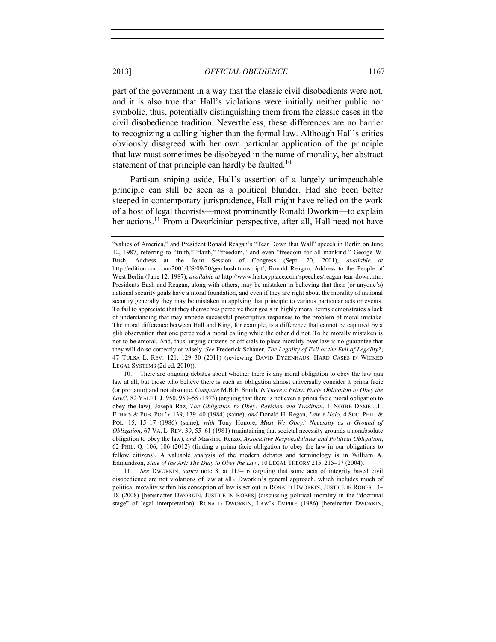part of the government in a way that the classic civil disobedients were not, and it is also true that Hall's violations were initially neither public nor symbolic, thus, potentially distinguishing them from the classic cases in the civil disobedience tradition. Nevertheless, these differences are no barrier to recognizing a calling higher than the formal law. Although Hall's critics obviously disagreed with her own particular application of the principle that law must sometimes be disobeyed in the name of morality, her abstract statement of that principle can hardly be faulted.<sup>10</sup>

Partisan sniping aside, Hall's assertion of a largely unimpeachable principle can still be seen as a political blunder. Had she been better steeped in contemporary jurisprudence, Hall might have relied on the work of a host of legal theorists—most prominently Ronald Dworkin—to explain her actions.<sup>11</sup> From a Dworkinian perspective, after all, Hall need not have

10. There are ongoing debates about whether there is any moral obligation to obey the law qua law at all, but those who believe there is such an obligation almost universally consider it prima facie (or pro tanto) and not absolute. *Compare* M.B.E. Smith, *Is There a Prima Facie Obligation to Obey the Law?*, 82 YALE L.J. 950, 950–55 (1973) (arguing that there is not even a prima facie moral obligation to obey the law), Joseph Raz, *The Obligation to Obey: Revision and Tradition*, 1 NOTRE DAME J.L. ETHICS & PUB. POL'Y 139, 139–40 (1984) (same), *and* Donald H. Regan, *Law's Halo*, 4 SOC. PHIL. & POL. 15, 15–17 (1986) (same), *with* Tony Honoré, *Must We Obey? Necessity as a Ground of Obligation*, 67 VA. L. REV. 39, 55–61 (1981) (maintaining that societal necessity grounds a nonabsolute obligation to obey the law), *and* Massimo Renzo, *Associative Responsibilities and Political Obligation*, 62 PHIL. Q. 106, 106 (2012) (finding a prima facie obligation to obey the law in our obligations to fellow citizens). A valuable analysis of the modern debates and terminology is in William A. Edmundson, *State of the Art: The Duty to Obey the Law*, 10 LEGAL THEORY 215, 215–17 (2004).

11. *See* DWORKIN, *supra* note [8,](#page-1-0) at 115–16 (arguing that some acts of integrity based civil disobedience are not violations of law at all). Dworkin's general approach, which includes much of political morality within his conception of law is set out in RONALD DWORKIN, JUSTICE IN ROBES 13– 18 (2008) [hereinafter DWORKIN, JUSTICE IN ROBES] (discussing political morality in the "doctrinal stage" of legal interpretation); RONALD DWORKIN, LAW'S EMPIRE (1986) [hereinafter DWORKIN,

<span id="page-2-0"></span><sup>&</sup>quot;values of America," and President Ronald Reagan's "Tear Down that Wall" speech in Berlin on June 12, 1987, referring to "truth," "faith," "freedom," and even "freedom for all mankind." George W. Bush, Address at the Joint Session of Congress (Sept. 20, 2001), *available at*  http://edition.cnn.com/2001/US/09/20/gen.bush.transcript/; Ronald Reagan, Address to the People of West Berlin (June 12, 1987), *available at* http://www.historyplace.com/speeches/reagan-tear-down.htm. Presidents Bush and Reagan, along with others, may be mistaken in believing that their (or anyone's) national security goals have a moral foundation, and even if they are right about the morality of national security generally they may be mistaken in applying that principle to various particular acts or events. To fail to appreciate that they themselves perceive their goals in highly moral terms demonstrates a lack of understanding that may impede successful prescriptive responses to the problem of moral mistake. The moral difference between Hall and King, for example, is a difference that cannot be captured by a glib observation that one perceived a moral calling while the other did not. To be morally mistaken is not to be amoral. And, thus, urging citizens or officials to place morality over law is no guarantee that they will do so correctly or wisely. *See* Frederick Schauer, *The Legality of Evil or the Evil of Legality?*, 47 TULSA L. REV. 121, 129–30 (2011) (reviewing DAVID DYZENHAUS, HARD CASES IN WICKED LEGAL SYSTEMS (2d ed. 2010)).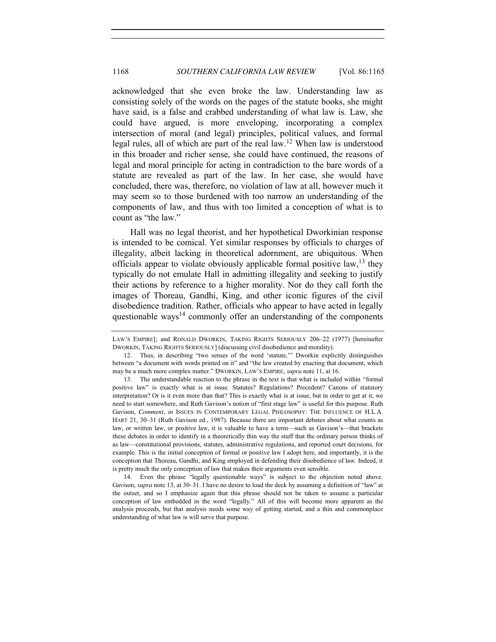<span id="page-3-1"></span>acknowledged that she even broke the law. Understanding law as consisting solely of the words on the pages of the statute books, she might have said, is a false and crabbed understanding of what law is. Law, she could have argued, is more enveloping, incorporating a complex intersection of moral (and legal) principles, political values, and formal legal rules, all of which are part of the real law.<sup>12</sup> When law is understood in this broader and richer sense, she could have continued, the reasons of legal and moral principle for acting in contradiction to the bare words of a statute are revealed as part of the law. In her case, she would have concluded, there was, therefore, no violation of law at all, however much it may seem so to those burdened with too narrow an understanding of the components of law, and thus with too limited a conception of what is to count as "the law."

<span id="page-3-0"></span>Hall was no legal theorist, and her hypothetical Dworkinian response is intended to be comical. Yet similar responses by officials to charges of illegality, albeit lacking in theoretical adornment, are ubiquitous. When officials appear to violate obviously applicable formal positive law,  $^{13}$  they typically do not emulate Hall in admitting illegality and seeking to justify their actions by reference to a higher morality. Nor do they call forth the images of Thoreau, Gandhi, King, and other iconic figures of the civil disobedience tradition. Rather, officials who appear to have acted in legally questionable ways<sup>14</sup> commonly offer an understanding of the components

14. Even the phrase "legally questionable ways" is subject to the objection noted above. Gavison, *supra* note [13,](#page-3-0) at 30–31. I have no desire to load the deck by assuming a definition of "law" at the outset, and so I emphasize again that this phrase should not be taken to assume a particular conception of law embedded in the word "legally." All of this will become more apparent as the analysis proceeds, but that analysis needs some way of getting started, and a thin and commonplace understanding of what law is will serve that purpose.

LAW'S EMPIRE]; and RONALD DWORKIN, TAKING RIGHTS SERIOUSLY 206–22 (1977) [hereinafter DWORKIN, TAKING RIGHTS SERIOUSLY] (discussing civil disobedience and morality).

<sup>12.</sup> Thus, in describing "two senses of the word 'statute,'" Dworkin explicitly distinguishes between "a document with words printed on it" and "the law created by enacting that document, which may be a much more complex matter." DWORKIN, LAW'S EMPIRE, *supra* not[e 11,](#page-2-0) at 16.

<sup>13.</sup> The understandable reaction to the phrase in the text is that what is included within "formal positive law" is exactly what is at issue. Statutes? Regulations? Precedent? Canons of statutory interpretation? Or is it even more than that? This is exactly what is at issue, but in order to get at it, we need to start somewhere, and Ruth Gavison's notion of "first stage law" is useful for this purpose. Ruth Gavison, *Comment*, *in* ISSUES IN CONTEMPORARY LEGAL PHILOSOPHY: THE INFLUENCE OF H.L.A. HART 21, 30–31 (Ruth Gavison ed., 1987). Because there are important debates about what counts as law, or written law, or positive law, it is valuable to have a term—such as Gavison's—that brackets these debates in order to identify in a theoretically thin way the stuff that the ordinary person thinks of as law—constitutional provisions, statutes, administrative regulations, and reported court decisions, for example. This is the initial conception of formal or positive law I adopt here, and importantly, it is the conception that Thoreau, Gandhi, and King employed in defending their disobedience of law. Indeed, it is pretty much the only conception of law that makes their arguments even sensible.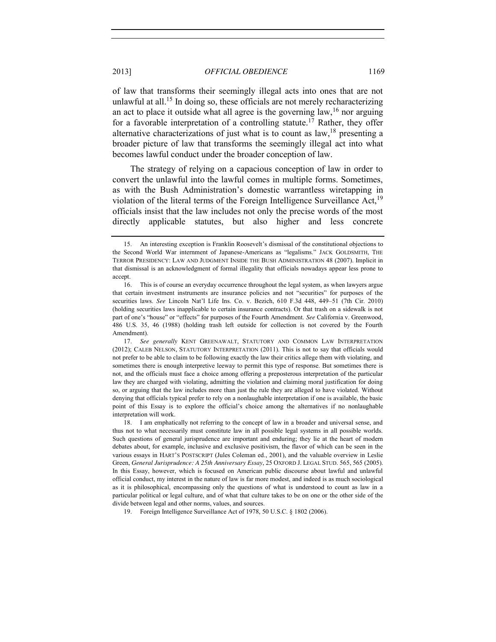of law that transforms their seemingly illegal acts into ones that are not unlawful at all.<sup>15</sup> In doing so, these officials are not merely recharacterizing an act to place it outside what all agree is the governing  $law<sub>16</sub>$  nor arguing for a favorable interpretation of a controlling statute.<sup>17</sup> Rather, they offer alternative characterizations of just what is to count as  $\text{law}$ , <sup>18</sup> presenting a broader picture of law that transforms the seemingly illegal act into what becomes lawful conduct under the broader conception of law.

<span id="page-4-0"></span>The strategy of relying on a capacious conception of law in order to convert the unlawful into the lawful comes in multiple forms. Sometimes, as with the Bush Administration's domestic warrantless wiretapping in violation of the literal terms of the Foreign Intelligence Surveillance Act,<sup>19</sup> officials insist that the law includes not only the precise words of the most directly applicable statutes, but also higher and less concrete

19. Foreign Intelligence Surveillance Act of 1978, 50 U.S.C. § 1802 (2006).

<sup>15.</sup> An interesting exception is Franklin Roosevelt's dismissal of the constitutional objections to the Second World War internment of Japanese-Americans as "legalisms." JACK GOLDSMITH, THE TERROR PRESIDENCY: LAW AND JUDGMENT INSIDE THE BUSH ADMINISTRATION 48 (2007). Implicit in that dismissal is an acknowledgment of formal illegality that officials nowadays appear less prone to accept.

<sup>16.</sup> This is of course an everyday occurrence throughout the legal system, as when lawyers argue that certain investment instruments are insurance policies and not "securities" for purposes of the securities laws. *See* Lincoln Nat'l Life Ins. Co. v. Bezich, 610 F.3d 448, 449–51 (7th Cir. 2010) (holding securities laws inapplicable to certain insurance contracts). Or that trash on a sidewalk is not part of one's "house" or "effects" for purposes of the Fourth Amendment. *See* California v. Greenwood, 486 U.S. 35, 46 (1988) (holding trash left outside for collection is not covered by the Fourth Amendment).

<sup>17.</sup> *See generally* KENT GREENAWALT, STATUTORY AND COMMON LAW INTERPRETATION (2012); CALEB NELSON, STATUTORY INTERPRETATION (2011). This is not to say that officials would not prefer to be able to claim to be following exactly the law their critics allege them with violating, and sometimes there is enough interpretive leeway to permit this type of response. But sometimes there is not, and the officials must face a choice among offering a preposterous interpretation of the particular law they are charged with violating, admitting the violation and claiming moral justification for doing so, or arguing that the law includes more than just the rule they are alleged to have violated. Without denying that officials typical prefer to rely on a nonlaughable interpretation if one is available, the basic point of this Essay is to explore the official's choice among the alternatives if no nonlaughable interpretation will work.

<sup>18.</sup> I am emphatically not referring to the concept of law in a broader and universal sense, and thus not to what necessarily must constitute law in all possible legal systems in all possible worlds. Such questions of general jurisprudence are important and enduring; they lie at the heart of modern debates about, for example, inclusive and exclusive positivism, the flavor of which can be seen in the various essays in HART'S POSTSCRIPT (Jules Coleman ed., 2001), and the valuable overview in Leslie Green, *General Jurisprudence: A 25th Anniversary Essay*, 25 OXFORD J. LEGAL STUD. 565, 565 (2005). In this Essay, however, which is focused on American public discourse about lawful and unlawful official conduct, my interest in the nature of law is far more modest, and indeed is as much sociological as it is philosophical, encompassing only the questions of what is understood to count as law in a particular political or legal culture, and of what that culture takes to be on one or the other side of the divide between legal and other norms, values, and sources.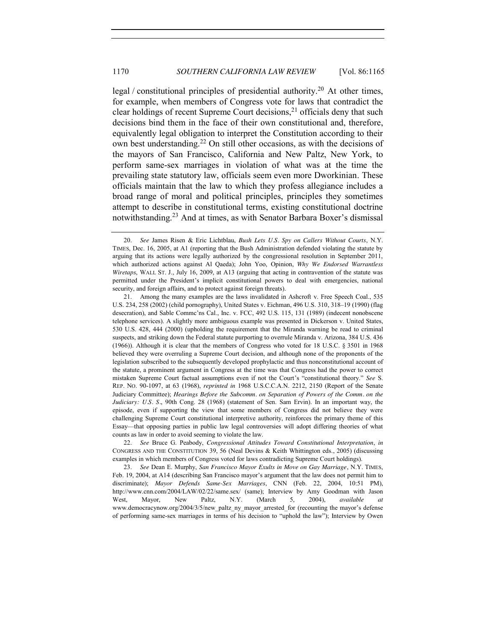legal / constitutional principles of presidential authority.<sup>20</sup> At other times, for example, when members of Congress vote for laws that contradict the clear holdings of recent Supreme Court decisions,<sup>21</sup> officials deny that such decisions bind them in the face of their own constitutional and, therefore, equivalently legal obligation to interpret the Constitution according to their own best understanding.<sup>22</sup> On still other occasions, as with the decisions of the mayors of San Francisco, California and New Paltz, New York, to perform same-sex marriages in violation of what was at the time the prevailing state statutory law, officials seem even more Dworkinian. These officials maintain that the law to which they profess allegiance includes a broad range of moral and political principles, principles they sometimes attempt to describe in constitutional terms, existing constitutional doctrine notwithstanding.<sup>23</sup> And at times, as with Senator Barbara Boxer's dismissal

22. *See* Bruce G. Peabody, *Congressional Attitudes Toward Constitutional Interpretation*, *in*  CONGRESS AND THE CONSTITUTION 39, 56 (Neal Devins & Keith Whittington eds., 2005) (discussing examples in which members of Congress voted for laws contradicting Supreme Court holdings).

23. *See* Dean E. Murphy, *San Francisco Mayor Exults in Move on Gay Marriage*, N.Y. TIMES, Feb. 19, 2004, at A14 (describing San Francisco mayor's argument that the law does not permit him to discriminate); *Mayor Defends Same-Sex Marriages*, CNN (Feb. 22, 2004, 10:51 PM), http://www.cnn.com/2004/LAW/02/22/same.sex/ (same); Interview by Amy Goodman with Jason West, Mayor, New Paltz, N.Y. (March 5, 2004), *available at*  www.democracynow.org/2004/3/5/new\_paltz\_ny\_mayor\_arrested\_for (recounting the mayor's defense of performing same-sex marriages in terms of his decision to "uphold the law"); Interview by Owen

<sup>20.</sup> *See* James Risen & Eric Lichtblau, *Bush Lets U.S. Spy on Callers Without Courts*, N.Y. TIMES, Dec. 16, 2005, at A1 (reporting that the Bush Administration defended violating the statute by arguing that its actions were legally authorized by the congressional resolution in September 2011, which authorized actions against Al Qaeda); John Yoo, Opinion, *Why We Endorsed Warrantless Wiretaps*, WALL ST. J., July 16, 2009, at A13 (arguing that acting in contravention of the statute was permitted under the President's implicit constitutional powers to deal with emergencies, national security, and foreign affairs, and to protect against foreign threats).

<sup>21.</sup> Among the many examples are the laws invalidated in Ashcroft v. Free Speech Coal., 535 U.S. 234, 258 (2002) (child pornography), United States v. Eichman, 496 U.S. 310, 318–19 (1990) (flag desecration), and Sable Commc'ns Cal., Inc. v. FCC, 492 U.S. 115, 131 (1989) (indecent nonobscene telephone services). A slightly more ambiguous example was presented in Dickerson v. United States, 530 U.S. 428, 444 (2000) (upholding the requirement that the Miranda warning be read to criminal suspects, and striking down the Federal statute purporting to overrule Miranda v. Arizona, 384 U.S. 436 (1966)). Although it is clear that the members of Congress who voted for 18 U.S.C. § 3501 in 1968 believed they were overruling a Supreme Court decision, and although none of the proponents of the legislation subscribed to the subsequently developed prophylactic and thus nonconstitutional account of the statute, a prominent argument in Congress at the time was that Congress had the power to correct mistaken Supreme Court factual assumptions even if not the Court's "constitutional theory." *See* S. REP. NO. 90-1097, at 63 (1968), *reprinted in* 1968 U.S.C.C.A.N. 2212, 2150 (Report of the Senate Judiciary Committee); *Hearings Before the Subcomm. on Separation of Powers of the Comm. on the Judiciary: U.S. S.*, 90th Cong. 28 (1968) (statement of Sen. Sam Ervin). In an important way, the episode, even if supporting the view that some members of Congress did not believe they were challenging Supreme Court constitutional interpretive authority, reinforces the primary theme of this Essay—that opposing parties in public law legal controversies will adopt differing theories of what counts as law in order to avoid seeming to violate the law.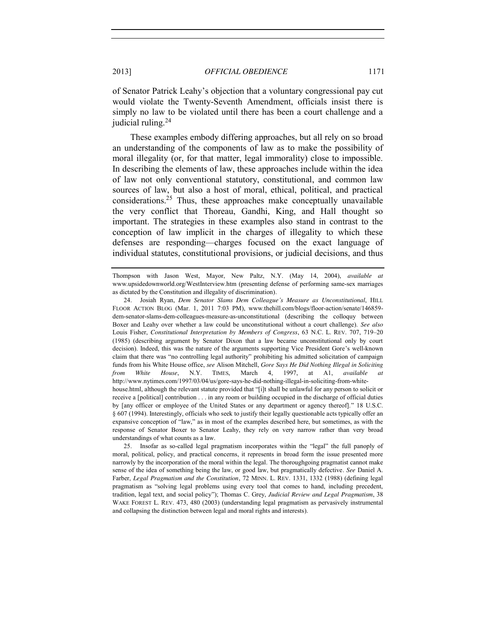of Senator Patrick Leahy's objection that a voluntary congressional pay cut would violate the Twenty-Seventh Amendment, officials insist there is simply no law to be violated until there has been a court challenge and a judicial ruling.<sup>24</sup>

<span id="page-6-0"></span>These examples embody differing approaches, but all rely on so broad an understanding of the components of law as to make the possibility of moral illegality (or, for that matter, legal immorality) close to impossible. In describing the elements of law, these approaches include within the idea of law not only conventional statutory, constitutional, and common law sources of law, but also a host of moral, ethical, political, and practical considerations. <sup>25</sup> Thus, these approaches make conceptually unavailable the very conflict that Thoreau, Gandhi, King, and Hall thought so important. The strategies in these examples also stand in contrast to the conception of law implicit in the charges of illegality to which these defenses are responding—charges focused on the exact language of individual statutes, constitutional provisions, or judicial decisions, and thus

Thompson with Jason West, Mayor, New Paltz, N.Y. (May 14, 2004), *available at* www.upsidedownworld.org/WestInterview.htm (presenting defense of performing same-sex marriages as dictated by the Constitution and illegality of discrimination).

<sup>24.</sup> Josiah Ryan, *Dem Senator Slams Dem Colleague's Measure as Unconstitutional*, HILL FLOOR ACTION BLOG (Mar. 1, 2011 7:03 PM), www.thehill.com/blogs/floor-action/senate/146859 dem-senator-slams-dem-colleagues-measure-as-unconstitutional (describing the colloquy between Boxer and Leahy over whether a law could be unconstitutional without a court challenge). *See also*  Louis Fisher, *Constitutional Interpretation by Members of Congress*, 63 N.C. L. REV. 707, 719–20 (1985) (describing argument by Senator Dixon that a law became unconstitutional only by court decision). Indeed, this was the nature of the arguments supporting Vice President Gore's well-known claim that there was "no controlling legal authority" prohibiting his admitted solicitation of campaign funds from his White House office, *see* Alison Mitchell, *Gore Says He Did Nothing Illegal in Soliciting from White House*, N.Y. TIMES, March 4, 1997, at A1, *available at*  http://www.nytimes.com/1997/03/04/us/gore-says-he-did-nothing-illegal-in-soliciting-from-whitehouse.html, although the relevant statute provided that "[i]t shall be unlawful for any person to solicit or receive a [political] contribution . . . in any room or building occupied in the discharge of official duties by [any officer or employee of the United States or any department or agency thereof]." 18 U.S.C. § 607 (1994). Interestingly, officials who seek to justify their legally questionable acts typically offer an expansive conception of "law," as in most of the examples described here, but sometimes, as with the response of Senator Boxer to Senator Leahy, they rely on very narrow rather than very broad understandings of what counts as a law.

<sup>25.</sup> Insofar as so-called legal pragmatism incorporates within the "legal" the full panoply of moral, political, policy, and practical concerns, it represents in broad form the issue presented more narrowly by the incorporation of the moral within the legal. The thoroughgoing pragmatist cannot make sense of the idea of something being the law, or good law, but pragmatically defective. *See* Daniel A. Farber, *Legal Pragmatism and the Constitution*, 72 MINN. L. REV. 1331, 1332 (1988) (defining legal pragmatism as "solving legal problems using every tool that comes to hand, including precedent, tradition, legal text, and social policy"); Thomas C. Grey, *Judicial Review and Legal Pragmatism*, 38 WAKE FOREST L. REV. 473, 480 (2003) (understanding legal pragmatism as pervasively instrumental and collapsing the distinction between legal and moral rights and interests).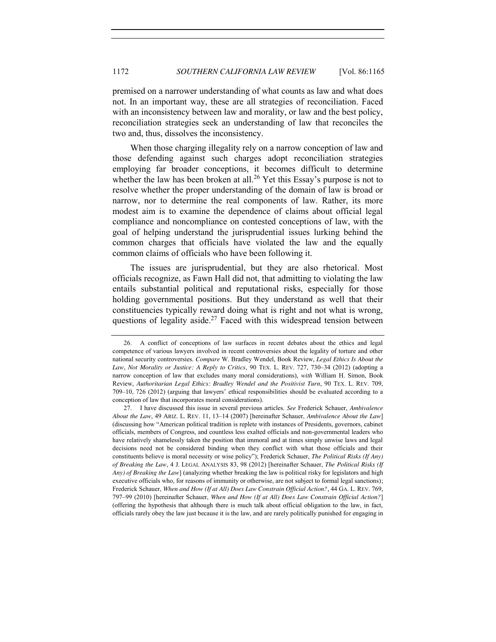premised on a narrower understanding of what counts as law and what does not. In an important way, these are all strategies of reconciliation. Faced with an inconsistency between law and morality, or law and the best policy, reconciliation strategies seek an understanding of law that reconciles the two and, thus, dissolves the inconsistency.

When those charging illegality rely on a narrow conception of law and those defending against such charges adopt reconciliation strategies employing far broader conceptions, it becomes difficult to determine whether the law has been broken at all.<sup>26</sup> Yet this Essay's purpose is not to resolve whether the proper understanding of the domain of law is broad or narrow, nor to determine the real components of law. Rather, its more modest aim is to examine the dependence of claims about official legal compliance and noncompliance on contested conceptions of law, with the goal of helping understand the jurisprudential issues lurking behind the common charges that officials have violated the law and the equally common claims of officials who have been following it.

The issues are jurisprudential, but they are also rhetorical. Most officials recognize, as Fawn Hall did not, that admitting to violating the law entails substantial political and reputational risks, especially for those holding governmental positions. But they understand as well that their constituencies typically reward doing what is right and not what is wrong, questions of legality aside.<sup>27</sup> Faced with this widespread tension between

<span id="page-7-0"></span><sup>26.</sup> A conflict of conceptions of law surfaces in recent debates about the ethics and legal competence of various lawyers involved in recent controversies about the legality of torture and other national security controversies. *Compare* W. Bradley Wendel, Book Review, *Legal Ethics Is About the Law*, *Not Morality or Justice: A Reply to Critics*, 90 TEX. L. REV. 727, 730–34 (2012) (adopting a narrow conception of law that excludes many moral considerations), *with* William H. Simon, Book Review, *Authoritarian Legal Ethics: Bradley Wendel and the Positivist Turn*, 90 TEX. L. REV. 709, 709–10, 726 (2012) (arguing that lawyers' ethical responsibilities should be evaluated according to a conception of law that incorporates moral considerations).

<sup>27.</sup> I have discussed this issue in several previous articles. *See* Frederick Schauer, *Ambivalence About the Law*, 49 ARIZ. L. REV. 11, 13–14 (2007) [hereinafter Schauer, *Ambivalence About the Law*] (discussing how "American political tradition is replete with instances of Presidents, governors, cabinet officials, members of Congress, and countless less exalted officials and non-governmental leaders who have relatively shamelessly taken the position that immoral and at times simply unwise laws and legal decisions need not be considered binding when they conflict with what those officials and their constituents believe is moral necessity or wise policy"); Frederick Schauer, *The Political Risks (If Any) of Breaking the Law*, 4 J. LEGAL ANALYSIS 83, 98 (2012) [hereinafter Schauer, *The Political Risks (If Any) of Breaking the Law*] (analyzing whether breaking the law is political risky for legislators and high executive officials who, for reasons of immunity or otherwise, are not subject to formal legal sanctions); Frederick Schauer, *When and How (If at All) Does Law Constrain Official Action?*, 44 GA. L. REV. 769, 797–99 (2010) [hereinafter Schauer, *When and How (If at All) Does Law Constrain Official Action?*] (offering the hypothesis that although there is much talk about official obligation to the law, in fact, officials rarely obey the law just because it is the law, and are rarely politically punished for engaging in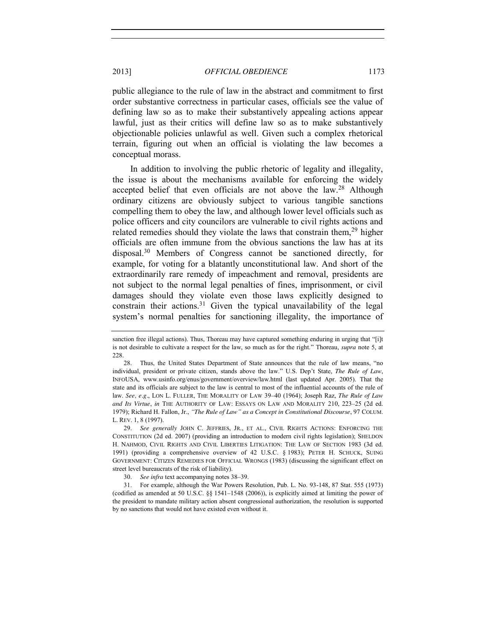public allegiance to the rule of law in the abstract and commitment to first order substantive correctness in particular cases, officials see the value of defining law so as to make their substantively appealing actions appear lawful, just as their critics will define law so as to make substantively objectionable policies unlawful as well. Given such a complex rhetorical terrain, figuring out when an official is violating the law becomes a conceptual morass.

<span id="page-8-0"></span>In addition to involving the public rhetoric of legality and illegality, the issue is about the mechanisms available for enforcing the widely accepted belief that even officials are not above the law.<sup>28</sup> Although ordinary citizens are obviously subject to various tangible sanctions compelling them to obey the law, and although lower level officials such as police officers and city councilors are vulnerable to civil rights actions and related remedies should they violate the laws that constrain them,  $29$  higher officials are often immune from the obvious sanctions the law has at its disposal.30 Members of Congress cannot be sanctioned directly, for example, for voting for a blatantly unconstitutional law. And short of the extraordinarily rare remedy of impeachment and removal, presidents are not subject to the normal legal penalties of fines, imprisonment, or civil damages should they violate even those laws explicitly designed to constrain their actions.<sup>31</sup> Given the typical unavailability of the legal system's normal penalties for sanctioning illegality, the importance of

29. *See generally* JOHN C. JEFFRIES, JR., ET AL., CIVIL RIGHTS ACTIONS: ENFORCING THE CONSTITUTION (2d ed. 2007) (providing an introduction to modern civil rights legislation); SHELDON H. NAHMOD, CIVIL RIGHTS AND CIVIL LIBERTIES LITIGATION: THE LAW OF SECTION 1983 (3d ed. 1991) (providing a comprehensive overview of 42 U.S.C. § 1983); PETER H. SCHUCK, SUING GOVERNMENT: CITIZEN REMEDIES FOR OFFICIAL WRONGS (1983) (discussing the significant effect on street level bureaucrats of the risk of liability).

30. *See infra* text accompanying note[s 38](#page-11-0)–[39.](#page-11-1)

31. For example, although the War Powers Resolution, Pub. L. No. 93-148, 87 Stat. 555 (1973) (codified as amended at 50 U.S.C. §§ 1541–1548 (2006)), is explicitly aimed at limiting the power of the president to mandate military action absent congressional authorization, the resolution is supported by no sanctions that would not have existed even without it.

<span id="page-8-1"></span>sanction free illegal actions). Thus, Thoreau may have captured something enduring in urging that "[i]t is not desirable to cultivate a respect for the law, so much as for the right." Thoreau, *supra* not[e 5,](#page-1-1) at 228.

<sup>28.</sup> Thus, the United States Department of State announces that the rule of law means, "no individual, president or private citizen, stands above the law." U.S. Dep't State, *The Rule of Law*, INFOUSA, www.usinfo.org/enus/government/overview/law.html (last updated Apr. 2005). That the state and its officials are subject to the law is central to most of the influential accounts of the rule of law. *See, e.g.*, LON L. FULLER, THE MORALITY OF LAW 39–40 (1964); Joseph Raz, *The Rule of Law and Its Virtue*, *in* THE AUTHORITY OF LAW: ESSAYS ON LAW AND MORALITY 210, 223–25 (2d ed. 1979); Richard H. Fallon, Jr., *"The Rule of Law" as a Concept in Constitutional Discourse*, 97 COLUM. L. REV. 1, 8 (1997).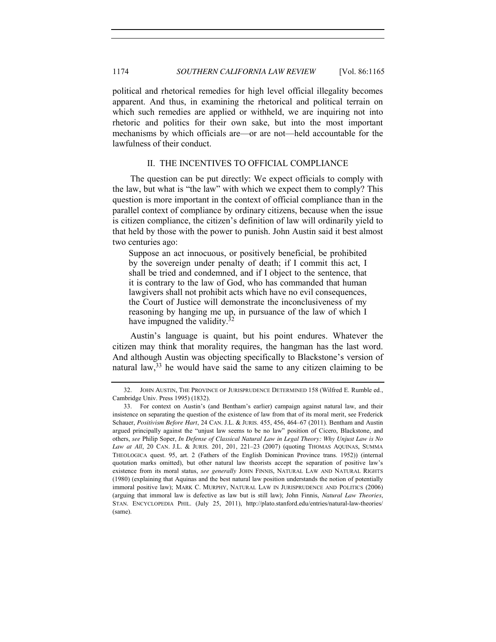political and rhetorical remedies for high level official illegality becomes apparent. And thus, in examining the rhetorical and political terrain on which such remedies are applied or withheld, we are inquiring not into rhetoric and politics for their own sake, but into the most important mechanisms by which officials are—or are not—held accountable for the lawfulness of their conduct.

## II. THE INCENTIVES TO OFFICIAL COMPLIANCE

The question can be put directly: We expect officials to comply with the law, but what is "the law" with which we expect them to comply? This question is more important in the context of official compliance than in the parallel context of compliance by ordinary citizens, because when the issue is citizen compliance, the citizen's definition of law will ordinarily yield to that held by those with the power to punish. John Austin said it best almost two centuries ago:

Suppose an act innocuous, or positively beneficial, be prohibited by the sovereign under penalty of death; if I commit this act, I shall be tried and condemned, and if I object to the sentence, that it is contrary to the law of God, who has commanded that human lawgivers shall not prohibit acts which have no evil consequences, the Court of Justice will demonstrate the inconclusiveness of my reasoning by hanging me up, in pursuance of the law of which I have impugned the validity.<sup>3</sup>

<span id="page-9-1"></span>Austin's language is quaint, but his point endures. Whatever the citizen may think that morality requires, the hangman has the last word. And although Austin was objecting specifically to Blackstone's version of natural law,  $33$  he would have said the same to any citizen claiming to be

<span id="page-9-0"></span><sup>32.</sup> JOHN AUSTIN, THE PROVINCE OF JURISPRUDENCE DETERMINED 158 (Wilfred E. Rumble ed., Cambridge Univ. Press 1995) (1832).

<sup>33.</sup> For context on Austin's (and Bentham's earlier) campaign against natural law, and their insistence on separating the question of the existence of law from that of its moral merit, see Frederick Schauer, *Positivism Before Hart*, 24 CAN. J.L. & JURIS. 455, 456, 464–67 (2011). Bentham and Austin argued principally against the "unjust law seems to be no law" position of Cicero, Blackstone, and others, *see* Philip Soper, *In Defense of Classical Natural Law in Legal Theory: Why Unjust Law is No Law at All*, 20 CAN. J.L. & JURIS. 201, 201, 221–23 (2007) (quoting THOMAS AQUINAS, SUMMA THEOLOGICA quest. 95, art. 2 (Fathers of the English Dominican Province trans. 1952)) (internal quotation marks omitted), but other natural law theorists accept the separation of positive law's existence from its moral status, *see generally* JOHN FINNIS, NATURAL LAW AND NATURAL RIGHTS (1980) (explaining that Aquinas and the best natural law position understands the notion of potentially immoral positive law); MARK C. MURPHY, NATURAL LAW IN JURISPRUDENCE AND POLITICS (2006) (arguing that immoral law is defective as law but is still law); John Finnis, *Natural Law Theories*, STAN. ENCYCLOPEDIA PHIL. (July 25, 2011), http://plato.stanford.edu/entries/natural-law-theories/ (same).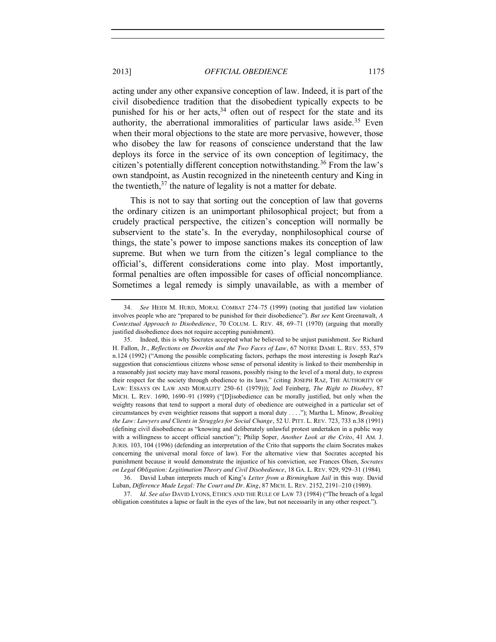acting under any other expansive conception of law. Indeed, it is part of the civil disobedience tradition that the disobedient typically expects to be punished for his or her acts,  $34$  often out of respect for the state and its authority, the aberrational immoralities of particular laws aside.<sup>35</sup> Even when their moral objections to the state are more pervasive, however, those who disobey the law for reasons of conscience understand that the law deploys its force in the service of its own conception of legitimacy, the citizen's potentially different conception notwithstanding.<sup>36</sup> From the law's own standpoint, as Austin recognized in the nineteenth century and King in the twentieth,<sup>37</sup> the nature of legality is not a matter for debate.

This is not to say that sorting out the conception of law that governs the ordinary citizen is an unimportant philosophical project; but from a crudely practical perspective, the citizen's conception will normally be subservient to the state's. In the everyday, nonphilosophical course of things, the state's power to impose sanctions makes its conception of law supreme. But when we turn from the citizen's legal compliance to the official's, different considerations come into play. Most importantly, formal penalties are often impossible for cases of official noncompliance. Sometimes a legal remedy is simply unavailable, as with a member of

<sup>34.</sup> *See* HEIDI M. HURD, MORAL COMBAT 274–75 (1999) (noting that justified law violation involves people who are "prepared to be punished for their disobedience"). *But see* Kent Greenawalt, *A Contextual Approach to Disobedience*, 70 COLUM. L. REV. 48, 69–71 (1970) (arguing that morally justified disobedience does not require accepting punishment).

<sup>35.</sup> Indeed, this is why Socrates accepted what he believed to be unjust punishment. *See* Richard H. Fallon, Jr., *Reflections on Dworkin and the Two Faces of Law*, 67 NOTRE DAME L. REV. 553, 579 n.124 (1992) ("Among the possible complicating factors, perhaps the most interesting is Joseph Raz's suggestion that conscientious citizens whose sense of personal identity is linked to their membership in a reasonably just society may have moral reasons, possibly rising to the level of a moral duty, to express their respect for the society through obedience to its laws." (citing JOSEPH RAZ, THE AUTHORITY OF LAW: ESSAYS ON LAW AND MORALITY 250–61 (1979))); Joel Feinberg, *The Right to Disobey*, 87 MICH. L. REV. 1690, 1690–91 (1989) ("[D]isobedience can be morally justified, but only when the weighty reasons that tend to support a moral duty of obedience are outweighed in a particular set of circumstances by even weightier reasons that support a moral duty . . . ."); Martha L. Minow, *Breaking the Law: Lawyers and Clients in Struggles for Social Change*, 52 U. PITT. L. REV. 723, 733 n.38 (1991) (defining civil disobedience as "knowing and deliberately unlawful protest undertaken in a public way with a willingness to accept official sanction"); Philip Soper, *Another Look at the Crito*, 41 AM. J. JURIS. 103, 104 (1996) (defending an interpretation of the Crito that supports the claim Socrates makes concerning the universal moral force of law). For the alternative view that Socrates accepted his punishment because it would demonstrate the injustice of his conviction, see Frances Olsen, *Socrates on Legal Obligation: Legitimation Theory and Civil Disobedience*, 18 GA. L. REV. 929, 929–31 (1984).

<sup>36.</sup> David Luban interprets much of King's *Letter from a Birmingham Jail* in this way. David Luban, *Difference Made Legal: The Court and Dr. King*, 87 MICH. L. REV. 2152, 2191–210 (1989).

<sup>37.</sup> *Id. See also* DAVID LYONS, ETHICS AND THE RULE OF LAW 73 (1984) ("The breach of a legal obligation constitutes a lapse or fault in the eyes of the law, but not necessarily in any other respect.").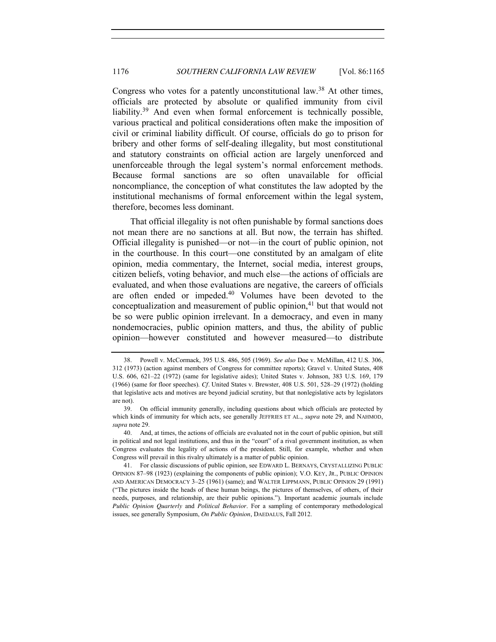<span id="page-11-1"></span><span id="page-11-0"></span>Congress who votes for a patently unconstitutional law.<sup>38</sup> At other times, officials are protected by absolute or qualified immunity from civil liability.<sup>39</sup> And even when formal enforcement is technically possible, various practical and political considerations often make the imposition of civil or criminal liability difficult. Of course, officials do go to prison for bribery and other forms of self-dealing illegality, but most constitutional and statutory constraints on official action are largely unenforced and unenforceable through the legal system's normal enforcement methods. Because formal sanctions are so often unavailable for official noncompliance, the conception of what constitutes the law adopted by the institutional mechanisms of formal enforcement within the legal system, therefore, becomes less dominant.

That official illegality is not often punishable by formal sanctions does not mean there are no sanctions at all. But now, the terrain has shifted. Official illegality is punished—or not—in the court of public opinion, not in the courthouse. In this court—one constituted by an amalgam of elite opinion, media commentary, the Internet, social media, interest groups, citizen beliefs, voting behavior, and much else—the actions of officials are evaluated, and when those evaluations are negative, the careers of officials are often ended or impeded.<sup>40</sup> Volumes have been devoted to the conceptualization and measurement of public opinion, $41$  but that would not be so were public opinion irrelevant. In a democracy, and even in many nondemocracies, public opinion matters, and thus, the ability of public opinion—however constituted and however measured—to distribute

<sup>38.</sup> Powell v. McCormack, 395 U.S. 486, 505 (1969). *See also* Doe v. McMillan, 412 U.S. 306, 312 (1973) (action against members of Congress for committee reports); Gravel v. United States, 408 U.S. 606, 621–22 (1972) (same for legislative aides); United States v. Johnson, 383 U.S. 169, 179 (1966) (same for floor speeches). *Cf.* United States v. Brewster, 408 U.S. 501, 528–29 (1972) (holding that legislative acts and motives are beyond judicial scrutiny, but that nonlegislative acts by legislators are not).

<sup>39.</sup> On official immunity generally, including questions about which officials are protected by which kinds of immunity for which acts, see generally JEFFRIES ET AL., *supra* note [29,](#page-8-0) and NAHMOD, *supra* not[e 29.](#page-8-0)

<sup>40.</sup> And, at times, the actions of officials are evaluated not in the court of public opinion, but still in political and not legal institutions, and thus in the "court" of a rival government institution, as when Congress evaluates the legality of actions of the president. Still, for example, whether and when Congress will prevail in this rivalry ultimately is a matter of public opinion.

<sup>41.</sup> For classic discussions of public opinion, see EDWARD L. BERNAYS, CRYSTALLIZING PUBLIC OPINION 87–98 (1923) (explaining the components of public opinion); V.O. KEY, JR., PUBLIC OPINION AND AMERICAN DEMOCRACY 3–25 (1961) (same); and WALTER LIPPMANN, PUBLIC OPINION 29 (1991) ("The pictures inside the heads of these human beings, the pictures of themselves, of others, of their needs, purposes, and relationship, are their public opinions."). Important academic journals include *Public Opinion Quarterly* and *Political Behavior*. For a sampling of contemporary methodological issues, see generally Symposium, *On Public Opinion*, DAEDALUS, Fall 2012.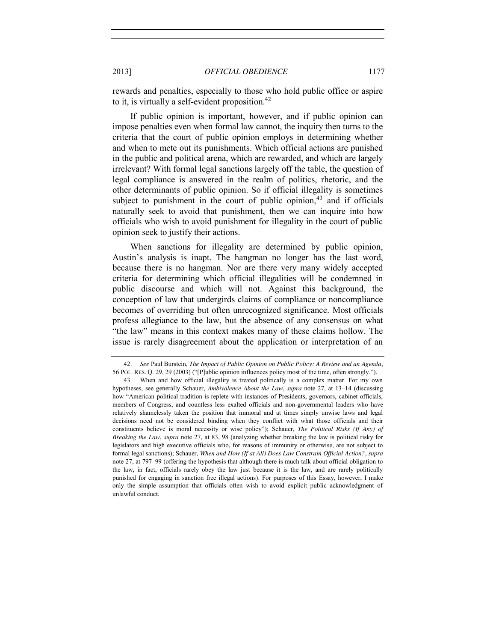rewards and penalties, especially to those who hold public office or aspire to it, is virtually a self-evident proposition.<sup>42</sup>

If public opinion is important, however, and if public opinion can impose penalties even when formal law cannot, the inquiry then turns to the criteria that the court of public opinion employs in determining whether and when to mete out its punishments. Which official actions are punished in the public and political arena, which are rewarded, and which are largely irrelevant? With formal legal sanctions largely off the table, the question of legal compliance is answered in the realm of politics, rhetoric, and the other determinants of public opinion. So if official illegality is sometimes subject to punishment in the court of public opinion,<sup>43</sup> and if officials naturally seek to avoid that punishment, then we can inquire into how officials who wish to avoid punishment for illegality in the court of public opinion seek to justify their actions.

When sanctions for illegality are determined by public opinion, Austin's analysis is inapt. The hangman no longer has the last word, because there is no hangman. Nor are there very many widely accepted criteria for determining which official illegalities will be condemned in public discourse and which will not. Against this background, the conception of law that undergirds claims of compliance or noncompliance becomes of overriding but often unrecognized significance. Most officials profess allegiance to the law, but the absence of any consensus on what "the law" means in this context makes many of these claims hollow. The issue is rarely disagreement about the application or interpretation of an

<sup>42.</sup> *See* Paul Burstein, *The Impact of Public Opinion on Public Policy: A Review and an Agenda*, 56 POL. RES. Q. 29, 29 (2003) ("[P]ublic opinion influences policy most of the time, often strongly.").

<sup>43.</sup> When and how official illegality is treated politically is a complex matter. For my own hypotheses, see generally Schauer, *Ambivalence About the Law*, *supra* note [27,](#page-7-0) at 13–14 (discussing how "American political tradition is replete with instances of Presidents, governors, cabinet officials, members of Congress, and countless less exalted officials and non-governmental leaders who have relatively shamelessly taken the position that immoral and at times simply unwise laws and legal decisions need not be considered binding when they conflict with what those officials and their constituents believe is moral necessity or wise policy"); Schauer, *The Political Risks (If Any) of Breaking the Law*, *supra* note [27,](#page-7-0) at 83, 98 (analyzing whether breaking the law is political risky for legislators and high executive officials who, for reasons of immunity or otherwise, are not subject to formal legal sanctions); Schauer, *When and How (If at All) Does Law Constrain Official Action?*, *supra*  note [27,](#page-7-0) at 797–99 (offering the hypothesis that although there is much talk about official obligation to the law, in fact, officials rarely obey the law just because it is the law, and are rarely politically punished for engaging in sanction free illegal actions). For purposes of this Essay, however, I make only the simple assumption that officials often wish to avoid explicit public acknowledgment of unlawful conduct.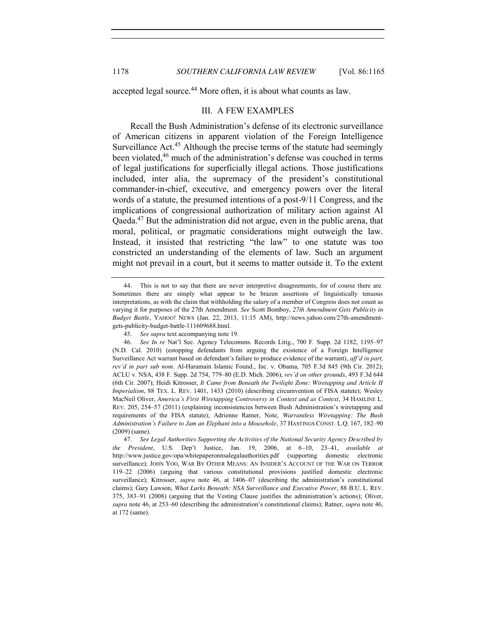accepted legal source.<sup>44</sup> More often, it is about what counts as law.

#### III. A FEW EXAMPLES

<span id="page-13-0"></span>Recall the Bush Administration's defense of its electronic surveillance of American citizens in apparent violation of the Foreign Intelligence Surveillance Act.45 Although the precise terms of the statute had seemingly been violated,<sup>46</sup> much of the administration's defense was couched in terms of legal justifications for superficially illegal actions. Those justifications included, inter alia, the supremacy of the president's constitutional commander-in-chief, executive, and emergency powers over the literal words of a statute, the presumed intentions of a post-9/11 Congress, and the implications of congressional authorization of military action against Al Qaeda.47 But the administration did not argue, even in the public arena, that moral, political, or pragmatic considerations might outweigh the law. Instead, it insisted that restricting "the law" to one statute was too constricted an understanding of the elements of law. Such an argument might not prevail in a court, but it seems to matter outside it. To the extent

<sup>44.</sup> This is not to say that there are never interpretive disagreements, for of course there are. Sometimes there are simply what appear to be brazen assertions of linguistically tenuous interpretations, as with the claim that withholding the salary of a member of Congress does not count as varying it for purposes of the 27th Amendment. *See* Scott Bomboy, *27th Amendment Gets Publicity in Budget Battle*, YAHOO! NEWS (Jan. 22, 2013, 11:15 AM), http://news.yahoo.com/27th-amendmentgets-publicity-budget-battle-111609688.html.

<sup>45.</sup> *See supra* text accompanying not[e 19.](#page-4-0)

<sup>46.</sup> *See In re* Nat'l Sec. Agency Telecomms. Records Litig., 700 F. Supp. 2d 1182, 1195–97 (N.D. Cal. 2010) (estopping defendants from arguing the existence of a Foreign Intelligence Surveillance Act warrant based on defendant's failure to produce evidence of the warrant), *aff'd in part, rev'd in part sub nom.* Al-Haramain Islamic Found., Inc. v. Obama, 705 F.3d 845 (9th Cir. 2012); ACLU v. NSA, 438 F. Supp. 2d 754, 779–80 (E.D. Mich. 2006), *rev'd on other grounds*, 493 F.3d 644 (6th Cir. 2007); Heidi Kitrosser, *It Came from Beneath the Twilight Zone: Wiretapping and Article II Imperialism*, 88 TEX. L. REV. 1401, 1433 (2010) (describing circumvention of FISA statute); Wesley MacNeil Oliver, *America's First Wiretapping Controversy in Context and as Context*, 34 HAMLINE L. REV. 205, 254–57 (2011) (explaining inconsistencies between Bush Administration's wiretapping and requirements of the FISA statute); Adrienne Ratner, Note, *Warrantless Wiretapping: The Bush Administration's Failure to Jam an Elephant into a Mousehole*, 37 HASTINGS CONST. L.Q. 167, 182–90 (2009) (same).

<sup>47.</sup> *See Legal Authorities Supporting the Activities of the National Security Agency Described by the President*, U.S. Dep't Justice, Jan. 19, 2006, at 6–10, 23–41, *available at* http://www.justice.gov/opa/whitepaperonnsalegalauthorities.pdf (supporting domestic electronic surveillance); JOHN YOO, WAR BY OTHER MEANS: AN INSIDER'S ACCOUNT OF THE WAR ON TERROR 119–22 (2006) (arguing that various constitutional provisions justified domestic electronic surveillance); Kitrosser, *supra* note [46,](#page-13-0) at 1406–07 (describing the administration's constitutional claims); Gary Lawson, *What Lurks Beneath: NSA Surveillance and Executive Power*, 88 B.U. L. REV. 375, 383–91 (2008) (arguing that the Vesting Clause justifies the administration's actions); Oliver, *supra* not[e 46,](#page-13-0) at 253–60 (describing the administration's constitutional claims); Ratner, *supra* note [46,](#page-13-0) at 172 (same).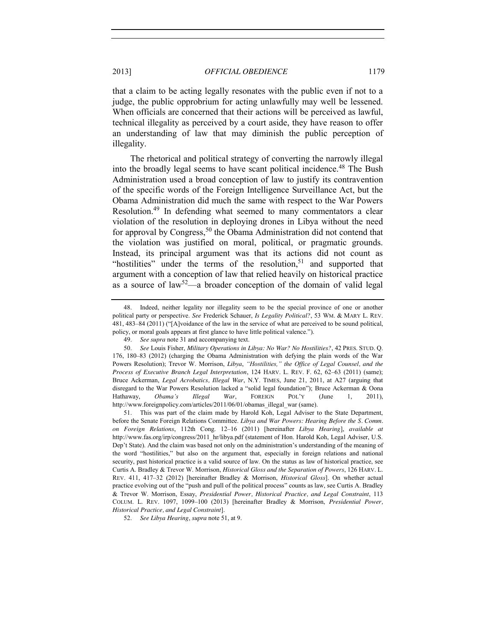that a claim to be acting legally resonates with the public even if not to a judge, the public opprobrium for acting unlawfully may well be lessened. When officials are concerned that their actions will be perceived as lawful, technical illegality as perceived by a court aside, they have reason to offer an understanding of law that may diminish the public perception of illegality.

<span id="page-14-2"></span><span id="page-14-1"></span>The rhetorical and political strategy of converting the narrowly illegal into the broadly legal seems to have scant political incidence.<sup>48</sup> The Bush Administration used a broad conception of law to justify its contravention of the specific words of the Foreign Intelligence Surveillance Act, but the Obama Administration did much the same with respect to the War Powers Resolution.49 In defending what seemed to many commentators a clear violation of the resolution in deploying drones in Libya without the need for approval by Congress,  $50$  the Obama Administration did not contend that the violation was justified on moral, political, or pragmatic grounds. Instead, its principal argument was that its actions did not count as "hostilities" under the terms of the resolution, $51$  and supported that argument with a conception of law that relied heavily on historical practice as a source of law<sup>52</sup>—a broader conception of the domain of valid legal

52. *See Libya Hearing*, *supra* not[e 51,](#page-14-0) at 9.

<span id="page-14-0"></span><sup>48.</sup> Indeed, neither legality nor illegality seem to be the special province of one or another political party or perspective. *See* Frederick Schauer, *Is Legality Political?*, 53 WM. & MARY L. REV. 481, 483–84 (2011) ("[A]voidance of the law in the service of what are perceived to be sound political, policy, or moral goals appears at first glance to have little political valence.").

<sup>49.</sup> *See supra* not[e 31](#page-8-1) and accompanying text.

<sup>50.</sup> *See* Louis Fisher, *Military Operations in Libya: No War? No Hostilities?*, 42 PRES. STUD. Q. 176, 180–83 (2012) (charging the Obama Administration with defying the plain words of the War Powers Resolution); Trevor W. Morrison, *Libya*, *"Hostilities," the Office of Legal Counsel, and the Process of Executive Branch Legal Interpretation*, 124 HARV. L. REV. F. 62, 62–63 (2011) (same); Bruce Ackerman, *Legal Acrobatics, Illegal War*, N.Y. TIMES, June 21, 2011, at A27 (arguing that disregard to the War Powers Resolution lacked a "solid legal foundation"); Bruce Ackerman & Oona Hathaway, *Obama's Illegal War*, FOREIGN POL'Y (June 1, 2011), http://www.foreignpolicy.com/articles/2011/06/01/obamas\_illegal\_war (same).

<sup>51.</sup> This was part of the claim made by Harold Koh, Legal Adviser to the State Department, before the Senate Foreign Relations Committee. *Libya and War Powers: Hearing Before the S. Comm. on Foreign Relations*, 112th Cong. 12–16 (2011) [hereinafter *Libya Hearing*], *available at*  http://www.fas.org/irp/congress/2011\_hr/libya.pdf (statement of Hon. Harold Koh, Legal Adviser, U.S. Dep't State). And the claim was based not only on the administration's understanding of the meaning of the word "hostilities," but also on the argument that, especially in foreign relations and national security, past historical practice is a valid source of law. On the status as law of historical practice, see Curtis A. Bradley & Trevor W. Morrison, *Historical Gloss and the Separation of Powers*, 126 HARV. L. REV. 411, 417–32 (2012) [hereinafter Bradley & Morrison, *Historical Gloss*]. On whether actual practice evolving out of the "push and pull of the political process" counts as law, see Curtis A. Bradley & Trevor W. Morrison, Essay, *Presidential Power, Historical Practice, and Legal Constraint*, 113 COLUM. L. REV. 1097, 1099–100 (2013) [hereinafter Bradley & Morrison, *Presidential Power, Historical Practice, and Legal Constraint*].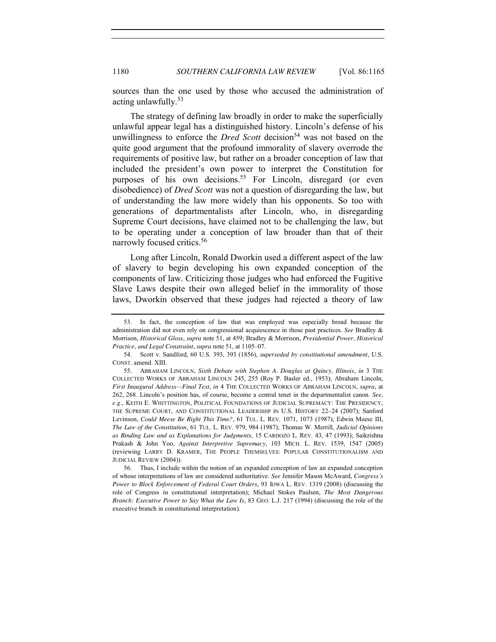<span id="page-15-0"></span>sources than the one used by those who accused the administration of acting unlawfully.<sup>53</sup>

The strategy of defining law broadly in order to make the superficially unlawful appear legal has a distinguished history. Lincoln's defense of his unwillingness to enforce the *Dred Scott* decision<sup>54</sup> was not based on the quite good argument that the profound immorality of slavery overrode the requirements of positive law, but rather on a broader conception of law that included the president's own power to interpret the Constitution for purposes of his own decisions.<sup>55</sup> For Lincoln, disregard (or even disobedience) of *Dred Scott* was not a question of disregarding the law, but of understanding the law more widely than his opponents. So too with generations of departmentalists after Lincoln, who, in disregarding Supreme Court decisions, have claimed not to be challenging the law, but to be operating under a conception of law broader than that of their narrowly focused critics.<sup>56</sup>

<span id="page-15-1"></span>Long after Lincoln, Ronald Dworkin used a different aspect of the law of slavery to begin developing his own expanded conception of the components of law. Criticizing those judges who had enforced the Fugitive Slave Laws despite their own alleged belief in the immorality of those laws, Dworkin observed that these judges had rejected a theory of law

<sup>53.</sup> In fact, the conception of law that was employed was especially broad because the administration did not even rely on congressional acquiescence in those past practices. *See* Bradley & Morrison, *Historical Gloss*, *supra* note [51,](#page-14-0) at 459; Bradley & Morrison, *Presidential Power, Historical Practice, and Legal Constraint*, *supra* not[e 51,](#page-14-0) at 1105–07.

<sup>54.</sup> Scott v. Sandford, 60 U.S. 393, 393 (1856), *superseded by constitutional amendment*, U.S. CONST. amend. XIII.

<sup>55.</sup> ABRAHAM LINCOLN, *Sixth Debate with Stephen A. Douglas at Quincy, Illinois*, *in* 3 THE COLLECTED WORKS OF ABRAHAM LINCOLN 245, 255 (Roy P. Basler ed., 1953); Abraham Lincoln, *First Inaugural Address—Final Text*, *in* 4 THE COLLECTED WORKS OF ABRAHAM LINCOLN, *supra*, at 262, 268. Lincoln's position has, of course, become a central tenet in the departmentalist canon. *See, e.g.*, KEITH E. WHITTINGTON, POLITICAL FOUNDATIONS OF JUDICIAL SUPREMACY: THE PRESIDENCY, THE SUPREME COURT, AND CONSTITUTIONAL LEADERSHIP IN U.S. HISTORY 22–24 (2007); Sanford Levinson, *Could Meese Be Right This Time?*, 61 TUL. L. REV. 1071, 1073 (1987); Edwin Meese III, *The Law of the Constitution*, 61 TUL. L. REV. 979, 984 (1987); Thomas W. Merrill, *Judicial Opinions as Binding Law and as Explanations for Judgments*, 15 CARDOZO L. REV. 43, 47 (1993); Saikrishna Prakash & John Yoo, *Against Interpretive Supremacy*, 103 MICH. L. REV. 1539, 1547 (2005) (reviewing LARRY D. KRAMER, THE PEOPLE THEMSELVES: POPULAR CONSTITUTIONALISM AND JUDICIAL REVIEW (2004)).

<sup>56.</sup> Thus, I include within the notion of an expanded conception of law an expanded conception of whose interpretations of law are considered authoritative. *See* Jennifer Mason McAward, *Congress's Power to Block Enforcement of Federal Court Orders*, 93 IOWA L. REV. 1319 (2008) (discussing the role of Congress in constitutional interpretation); Michael Stokes Paulsen, *The Most Dangerous Branch: Executive Power to Say What the Law Is*, 83 GEO. L.J. 217 (1994) (discussing the role of the executive branch in constitutional interpretation).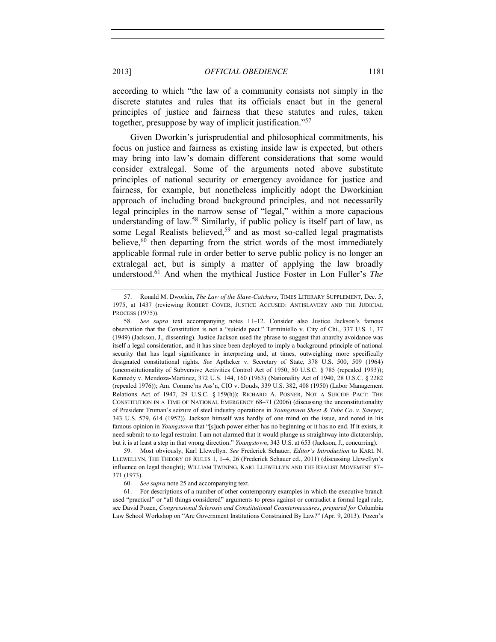according to which "the law of a community consists not simply in the discrete statutes and rules that its officials enact but in the general principles of justice and fairness that these statutes and rules, taken together, presuppose by way of implicit justification."<sup>57</sup>

<span id="page-16-1"></span>Given Dworkin's jurisprudential and philosophical commitments, his focus on justice and fairness as existing inside law is expected, but others may bring into law's domain different considerations that some would consider extralegal. Some of the arguments noted above substitute principles of national security or emergency avoidance for justice and fairness, for example, but nonetheless implicitly adopt the Dworkinian approach of including broad background principles, and not necessarily legal principles in the narrow sense of "legal," within a more capacious understanding of law.<sup>58</sup> Similarly, if public policy is itself part of law, as some Legal Realists believed,<sup>59</sup> and as most so-called legal pragmatists believe,  $60$  then departing from the strict words of the most immediately applicable formal rule in order better to serve public policy is no longer an extralegal act, but is simply a matter of applying the law broadly understood.61 And when the mythical Justice Foster in Lon Fuller's *The* 

<span id="page-16-0"></span><sup>57.</sup> Ronald M. Dworkin, *The Law of the Slave-Catchers*, TIMES LITERARY SUPPLEMENT, Dec. 5, 1975, at 1437 (reviewing ROBERT COVER, JUSTICE ACCUSED: ANTISLAVERY AND THE JUDICIAL PROCESS (1975)).

<sup>58.</sup> *See supra* text accompanying notes [11](#page-2-0)–[12.](#page-3-1) Consider also Justice Jackson's famous observation that the Constitution is not a "suicide pact." Terminiello v. City of Chi., 337 U.S. 1, 37 (1949) (Jackson, J., dissenting). Justice Jackson used the phrase to suggest that anarchy avoidance was itself a legal consideration, and it has since been deployed to imply a background principle of national security that has legal significance in interpreting and, at times, outweighing more specifically designated constitutional rights. *See* Aptheker v. Secretary of State, 378 U.S. 500, 509 (1964) (unconstitutionality of Subversive Activities Control Act of 1950, 50 U.S.C. § 785 (repealed 1993)); Kennedy v. Mendoza-Martinez, 372 U.S. 144, 160 (1963) (Nationality Act of 1940, 28 U.S.C. § 2282 (repealed 1976)); Am. Commc'ns Ass'n, CIO v. Douds, 339 U.S. 382, 408 (1950) (Labor Management Relations Act of 1947, 29 U.S.C. § 159(h)); RICHARD A. POSNER, NOT A SUICIDE PACT: THE CONSTITUTION IN A TIME OF NATIONAL EMERGENCY 68–71 (2006) (discussing the unconstitutionality of President Truman's seizure of steel industry operations in *Youngstown Sheet & Tube Co. v. Sawyer*, 343 U.S. 579, 614 (1952)). Jackson himself was hardly of one mind on the issue, and noted in his famous opinion in *Youngstown* that "[s]uch power either has no beginning or it has no end. If it exists, it need submit to no legal restraint. I am not alarmed that it would plunge us straightway into dictatorship, but it is at least a step in that wrong direction." *Youngstown*, 343 U.S. at 653 (Jackson, J., concurring).

<sup>59.</sup> Most obviously, Karl Llewellyn. *See* Frederick Schauer, *Editor's Introduction* to KARL N. LLEWELLYN, THE THEORY OF RULES 1, 1–4, 26 (Frederick Schauer ed., 2011) (discussing Llewellyn's influence on legal thought); WILLIAM TWINING, KARL LLEWELLYN AND THE REALIST MOVEMENT 87– 371 (1973).

<sup>60.</sup> *See supra* note [25](#page-6-0) and accompanying text.

<sup>61.</sup> For descriptions of a number of other contemporary examples in which the executive branch used "practical" or "all things considered" arguments to press against or contradict a formal legal rule, see David Pozen, *Congressional Sclerosis and Constitutional Countermeasures*, *prepared for* Columbia Law School Workshop on "Are Government Institutions Constrained By Law?" (Apr. 9, 2013). Pozen's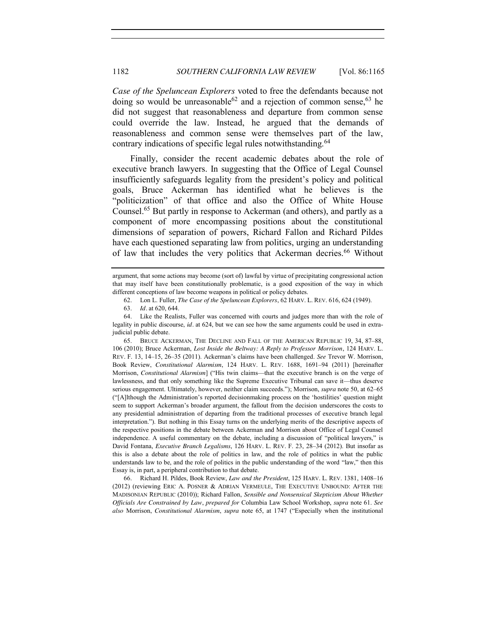*Case of the Speluncean Explorers* voted to free the defendants because not doing so would be unreasonable<sup>62</sup> and a rejection of common sense,  $63$  he did not suggest that reasonableness and departure from common sense could override the law. Instead, he argued that the demands of reasonableness and common sense were themselves part of the law, contrary indications of specific legal rules notwithstanding.<sup>64</sup>

<span id="page-17-0"></span>Finally, consider the recent academic debates about the role of executive branch lawyers. In suggesting that the Office of Legal Counsel insufficiently safeguards legality from the president's policy and political goals, Bruce Ackerman has identified what he believes is the "politicization" of that office and also the Office of White House Counsel.65 But partly in response to Ackerman (and others), and partly as a component of more encompassing positions about the constitutional dimensions of separation of powers, Richard Fallon and Richard Pildes have each questioned separating law from politics, urging an understanding of law that includes the very politics that Ackerman decries.<sup>66</sup> Without

65. BRUCE ACKERMAN, THE DECLINE AND FALL OF THE AMERICAN REPUBLIC 19, 34, 87–88, 106 (2010); Bruce Ackerman, *Lost Inside the Beltway: A Reply to Professor Morrison*, 124 HARV. L. REV. F. 13, 14–15, 26–35 (2011). Ackerman's claims have been challenged. *See* Trevor W. Morrison, Book Review, *Constitutional Alarmism*, 124 HARV. L. REV. 1688, 1691–94 (2011) [hereinafter Morrison, *Constitutional Alarmism*] ("His twin claims—that the executive branch is on the verge of lawlessness, and that only something like the Supreme Executive Tribunal can save it—thus deserve serious engagement. Ultimately, however, neither claim succeeds."); Morrison, *supra* note [50,](#page-14-1) at 62–65 ("[A]lthough the Administration's reported decisionmaking process on the 'hostilities' question might seem to support Ackerman's broader argument, the fallout from the decision underscores the costs to any presidential administration of departing from the traditional processes of executive branch legal interpretation."). But nothing in this Essay turns on the underlying merits of the descriptive aspects of the respective positions in the debate between Ackerman and Morrison about Office of Legal Counsel independence. A useful commentary on the debate, including a discussion of "political lawyers," is David Fontana, *Executive Branch Legalisms*, 126 HARV. L. REV. F. 23, 28–34 (2012). But insofar as this is also a debate about the role of politics in law, and the role of politics in what the public understands law to be, and the role of politics in the public understanding of the word "law," then this Essay is, in part, a peripheral contribution to that debate.

66. Richard H. Pildes, Book Review, *Law and the President*, 125 HARV. L. REV. 1381, 1408–16 (2012) (reviewing ERIC A. POSNER & ADRIAN VERMEULE, THE EXECUTIVE UNBOUND: AFTER THE MADISONIAN REPUBLIC (2010)); Richard Fallon, *Sensible and Nonsensical Skepticism About Whether Officials Are Constrained by Law*, *prepared for* Columbia Law School Workshop, *supra* note [61.](#page-16-0) *See also* Morrison, *Constitutional Alarmism*, *supra* note [65,](#page-17-0) at 1747 ("Especially when the institutional

argument, that some actions may become (sort of) lawful by virtue of precipitating congressional action that may itself have been constitutionally problematic, is a good exposition of the way in which different conceptions of law become weapons in political or policy debates.

<sup>62.</sup> Lon L. Fuller, *The Case of the Speluncean Explorers*, 62 HARV. L. REV. 616, 624 (1949).

<sup>63.</sup> *Id.* at 620, 644.

<sup>64.</sup> Like the Realists, Fuller was concerned with courts and judges more than with the role of legality in public discourse, *id.* at 624, but we can see how the same arguments could be used in extrajudicial public debate.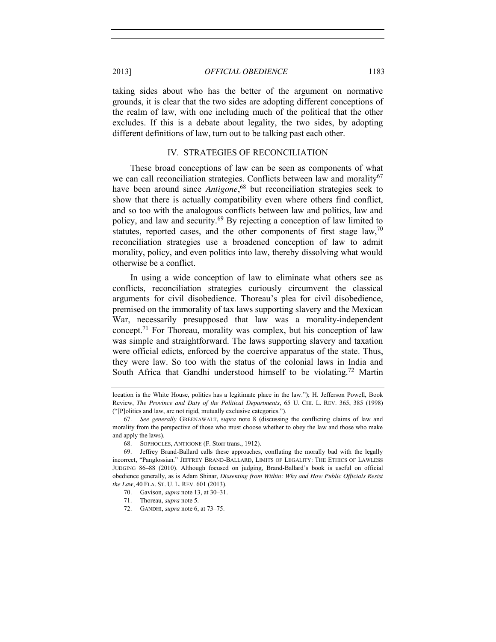taking sides about who has the better of the argument on normative grounds, it is clear that the two sides are adopting different conceptions of the realm of law, with one including much of the political that the other excludes. If this is a debate about legality, the two sides, by adopting different definitions of law, turn out to be talking past each other.

## IV. STRATEGIES OF RECONCILIATION

These broad conceptions of law can be seen as components of what we can call reconciliation strategies. Conflicts between law and morality $67$ have been around since *Antigone*, <sup>68</sup> but reconciliation strategies seek to show that there is actually compatibility even where others find conflict, and so too with the analogous conflicts between law and politics, law and policy, and law and security.<sup>69</sup> By rejecting a conception of law limited to statutes, reported cases, and the other components of first stage law,  $70$ reconciliation strategies use a broadened conception of law to admit morality, policy, and even politics into law, thereby dissolving what would otherwise be a conflict.

In using a wide conception of law to eliminate what others see as conflicts, reconciliation strategies curiously circumvent the classical arguments for civil disobedience. Thoreau's plea for civil disobedience, premised on the immorality of tax laws supporting slavery and the Mexican War, necessarily presupposed that law was a morality-independent concept.71 For Thoreau, morality was complex, but his conception of law was simple and straightforward. The laws supporting slavery and taxation were official edicts, enforced by the coercive apparatus of the state. Thus, they were law. So too with the status of the colonial laws in India and South Africa that Gandhi understood himself to be violating.<sup>72</sup> Martin

location is the White House, politics has a legitimate place in the law."); H. Jefferson Powell, Book Review, *The Province and Duty of the Political Departments*, 65 U. CHI. L. REV. 365, 385 (1998) ("[P]olitics and law, are not rigid, mutually exclusive categories.").

<sup>67.</sup> *See generally* GREENAWALT, s*upra* note [8](#page-1-0) (discussing the conflicting claims of law and morality from the perspective of those who must choose whether to obey the law and those who make and apply the laws).

<sup>68.</sup> SOPHOCLES, ANTIGONE (F. Storr trans., 1912).

<sup>69.</sup> Jeffrey Brand-Ballard calls these approaches, conflating the morally bad with the legally incorrect, "Panglossian." JEFFREY BRAND-BALLARD, LIMITS OF LEGALITY: THE ETHICS OF LAWLESS JUDGING 86–88 (2010). Although focused on judging, Brand-Ballard's book is useful on official obedience generally, as is Adam Shinar, *Dissenting from Within: Why and How Public Officials Resist the Law*, 40 FLA. ST. U. L. REV. 601 (2013).

<sup>70.</sup> Gavison, *supra* not[e 13,](#page-3-0) at 30–31.

<sup>71.</sup> Thoreau, *supra* not[e 5.](#page-1-1)

<sup>72.</sup> GANDHI, *supra* not[e 6,](#page-1-2) at 73–75.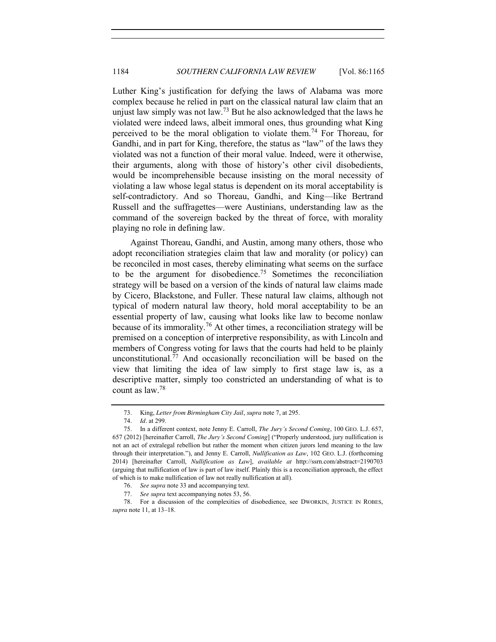Luther King's justification for defying the laws of Alabama was more complex because he relied in part on the classical natural law claim that an unjust law simply was not law.<sup>73</sup> But he also acknowledged that the laws he violated were indeed laws, albeit immoral ones, thus grounding what King perceived to be the moral obligation to violate them.<sup>74</sup> For Thoreau, for Gandhi, and in part for King, therefore, the status as "law" of the laws they violated was not a function of their moral value. Indeed, were it otherwise, their arguments, along with those of history's other civil disobedients, would be incomprehensible because insisting on the moral necessity of violating a law whose legal status is dependent on its moral acceptability is self-contradictory. And so Thoreau, Gandhi, and King—like Bertrand Russell and the suffragettes—were Austinians, understanding law as the command of the sovereign backed by the threat of force, with morality playing no role in defining law.

<span id="page-19-0"></span>Against Thoreau, Gandhi, and Austin, among many others, those who adopt reconciliation strategies claim that law and morality (or policy) can be reconciled in most cases, thereby eliminating what seems on the surface to be the argument for disobedience.<sup>75</sup> Sometimes the reconciliation strategy will be based on a version of the kinds of natural law claims made by Cicero, Blackstone, and Fuller. These natural law claims, although not typical of modern natural law theory, hold moral acceptability to be an essential property of law, causing what looks like law to become nonlaw because of its immorality.<sup>76</sup> At other times, a reconciliation strategy will be premised on a conception of interpretive responsibility, as with Lincoln and members of Congress voting for laws that the courts had held to be plainly unconstitutional.77 And occasionally reconciliation will be based on the view that limiting the idea of law simply to first stage law is, as a descriptive matter, simply too constricted an understanding of what is to count as law.78

<sup>73.</sup> King, *Letter from Birmingham City Jail*, *supra* not[e 7,](#page-1-3) at 295.

<sup>74.</sup> *Id.* at 299.

<sup>75.</sup> In a different context, note Jenny E. Carroll, *The Jury's Second Coming*, 100 GEO. L.J. 657, 657 (2012) [hereinafter Carroll, *The Jury's Second Coming*] ("Properly understood, jury nullification is not an act of extralegal rebellion but rather the moment when citizen jurors lend meaning to the law through their interpretation."), and Jenny E. Carroll, *Nullification as Law*, 102 GEO. L.J. (forthcoming 2014) [hereinafter Carroll, *Nullification as Law*], *available at* http://ssrn.com/abstract=2190703 (arguing that nullification of law is part of law itself. Plainly this is a reconciliation approach, the effect of which is to make nullification of law not really nullification at all).

<sup>76.</sup> *See supra* not[e 33](#page-9-0) and accompanying text.

<sup>77.</sup> *See supra* text accompanying notes [53,](#page-15-0) [56.](#page-15-1)

<sup>78.</sup> For a discussion of the complexities of disobedience, see DWORKIN, JUSTICE IN ROBES, *supra* not[e 11,](#page-2-0) at 13–18.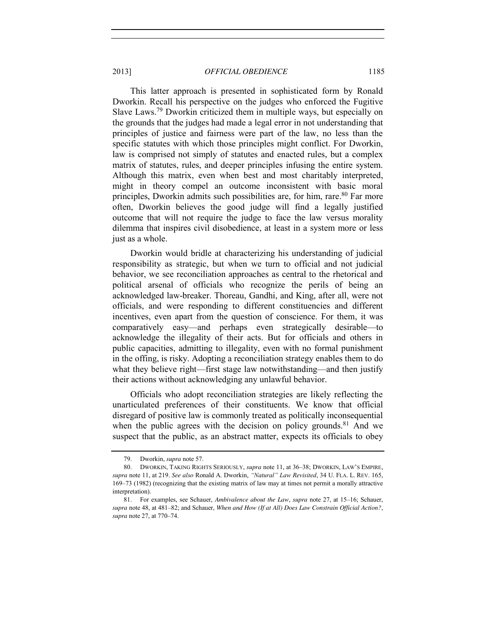This latter approach is presented in sophisticated form by Ronald Dworkin. Recall his perspective on the judges who enforced the Fugitive Slave Laws.79 Dworkin criticized them in multiple ways, but especially on the grounds that the judges had made a legal error in not understanding that principles of justice and fairness were part of the law, no less than the specific statutes with which those principles might conflict. For Dworkin, law is comprised not simply of statutes and enacted rules, but a complex matrix of statutes, rules, and deeper principles infusing the entire system. Although this matrix, even when best and most charitably interpreted, might in theory compel an outcome inconsistent with basic moral principles, Dworkin admits such possibilities are, for him, rare. <sup>80</sup> Far more often, Dworkin believes the good judge will find a legally justified outcome that will not require the judge to face the law versus morality dilemma that inspires civil disobedience, at least in a system more or less just as a whole.

Dworkin would bridle at characterizing his understanding of judicial responsibility as strategic, but when we turn to official and not judicial behavior, we see reconciliation approaches as central to the rhetorical and political arsenal of officials who recognize the perils of being an acknowledged law-breaker. Thoreau, Gandhi, and King, after all, were not officials, and were responding to different constituencies and different incentives, even apart from the question of conscience. For them, it was comparatively easy—and perhaps even strategically desirable—to acknowledge the illegality of their acts. But for officials and others in public capacities, admitting to illegality, even with no formal punishment in the offing, is risky. Adopting a reconciliation strategy enables them to do what they believe right—first stage law notwithstanding—and then justify their actions without acknowledging any unlawful behavior.

Officials who adopt reconciliation strategies are likely reflecting the unarticulated preferences of their constituents. We know that official disregard of positive law is commonly treated as politically inconsequential when the public agrees with the decision on policy grounds.<sup>81</sup> And we suspect that the public, as an abstract matter, expects its officials to obey

<sup>79.</sup> Dworkin, *supra* not[e 57.](#page-16-1)

<sup>80.</sup> DWORKIN, TAKING RIGHTS SERIOUSLY, *supra* note [11,](#page-2-0) at 36–38; DWORKIN, LAW'S EMPIRE, *supra* not[e 11,](#page-2-0) at 219. *See also* Ronald A. Dworkin, *"Natural" Law Revisited*, 34 U. FLA. L. REV. 165, 169–73 (1982) (recognizing that the existing matrix of law may at times not permit a morally attractive interpretation).

<sup>81.</sup> For examples, see Schauer, *Ambivalence about the Law*, *supra* note [27,](#page-7-0) at 15–16; Schauer, *supra* not[e 48,](#page-14-2) at 481–82; and Schauer, *When and How (If at All) Does Law Constrain Official Action?*, *supra* not[e 27,](#page-7-0) at 770–74.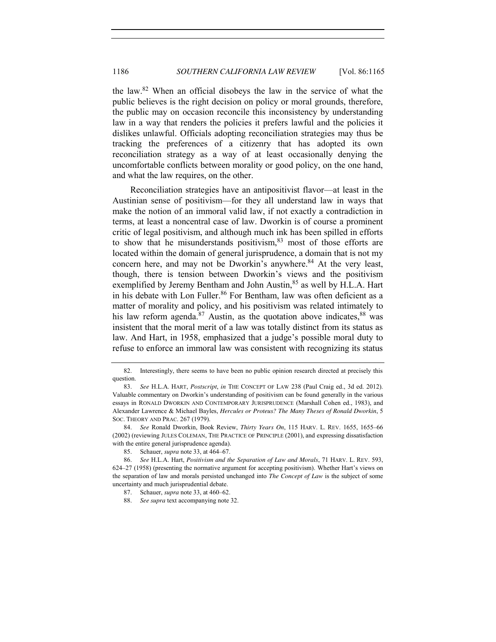the law.82 When an official disobeys the law in the service of what the public believes is the right decision on policy or moral grounds, therefore, the public may on occasion reconcile this inconsistency by understanding law in a way that renders the policies it prefers lawful and the policies it dislikes unlawful. Officials adopting reconciliation strategies may thus be tracking the preferences of a citizenry that has adopted its own reconciliation strategy as a way of at least occasionally denying the uncomfortable conflicts between morality or good policy, on the one hand, and what the law requires, on the other.

<span id="page-21-1"></span>Reconciliation strategies have an antipositivist flavor—at least in the Austinian sense of positivism—for they all understand law in ways that make the notion of an immoral valid law, if not exactly a contradiction in terms, at least a noncentral case of law. Dworkin is of course a prominent critic of legal positivism, and although much ink has been spilled in efforts to show that he misunderstands positivism, $83$  most of those efforts are located within the domain of general jurisprudence, a domain that is not my concern here, and may not be Dworkin's anywhere.<sup>84</sup> At the very least, though, there is tension between Dworkin's views and the positivism exemplified by Jeremy Bentham and John Austin,<sup>85</sup> as well by H.L.A. Hart in his debate with Lon Fuller.<sup>86</sup> For Bentham, law was often deficient as a matter of morality and policy, and his positivism was related intimately to his law reform agenda. $87$  Austin, as the quotation above indicates,  $88$  was insistent that the moral merit of a law was totally distinct from its status as law. And Hart, in 1958, emphasized that a judge's possible moral duty to refuse to enforce an immoral law was consistent with recognizing its status

<span id="page-21-0"></span><sup>82.</sup> Interestingly, there seems to have been no public opinion research directed at precisely this question.

<sup>83.</sup> *See* H.L.A. HART, *Postscript*, *in* THE CONCEPT OF LAW 238 (Paul Craig ed., 3d ed. 2012). Valuable commentary on Dworkin's understanding of positivism can be found generally in the various essays in RONALD DWORKIN AND CONTEMPORARY JURISPRUDENCE (Marshall Cohen ed., 1983), and Alexander Lawrence & Michael Bayles, *Hercules or Proteus? The Many Theses of Ronald Dworkin*, 5 SOC. THEORY AND PRAC. 267 (1979).

<sup>84.</sup> *See* Ronald Dworkin, Book Review, *Thirty Years On*, 115 HARV. L. REV. 1655, 1655–66 (2002) (reviewing JULES COLEMAN, THE PRACTICE OF PRINCIPLE (2001), and expressing dissatisfaction with the entire general jurisprudence agenda).

<sup>85.</sup> Schauer, *supra* note [33,](#page-9-0) at 464–67.

<sup>86.</sup> *See* H.L.A. Hart, *Positivism and the Separation of Law and Morals*, 71 HARV. L. REV. 593, 624–27 (1958) (presenting the normative argument for accepting positivism). Whether Hart's views on the separation of law and morals persisted unchanged into *The Concept of Law* is the subject of some uncertainty and much jurisprudential debate.

<sup>87.</sup> Schauer, *supra* note [33,](#page-9-0) at 460–62.

See supra text accompanying not[e 32.](#page-9-1)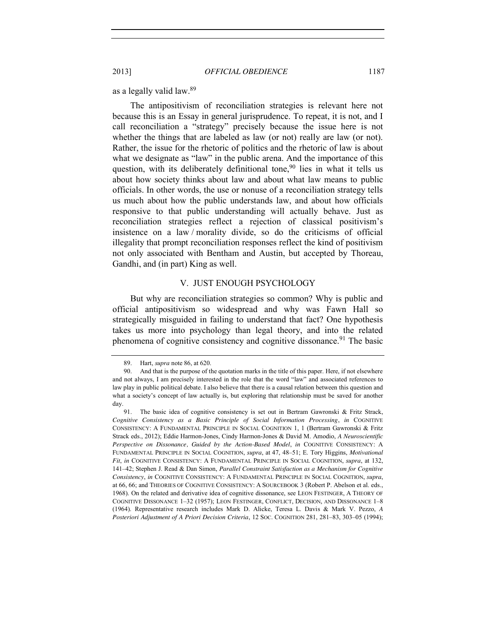as a legally valid law.89

The antipositivism of reconciliation strategies is relevant here not because this is an Essay in general jurisprudence. To repeat, it is not, and I call reconciliation a "strategy" precisely because the issue here is not whether the things that are labeled as law (or not) really are law (or not). Rather, the issue for the rhetoric of politics and the rhetoric of law is about what we designate as "law" in the public arena. And the importance of this question, with its deliberately definitional tone,  $90$  lies in what it tells us about how society thinks about law and about what law means to public officials. In other words, the use or nonuse of a reconciliation strategy tells us much about how the public understands law, and about how officials responsive to that public understanding will actually behave. Just as reconciliation strategies reflect a rejection of classical positivism's insistence on a law / morality divide, so do the criticisms of official illegality that prompt reconciliation responses reflect the kind of positivism not only associated with Bentham and Austin, but accepted by Thoreau, Gandhi, and (in part) King as well.

### <span id="page-22-0"></span>V. JUST ENOUGH PSYCHOLOGY

But why are reconciliation strategies so common? Why is public and official antipositivism so widespread and why was Fawn Hall so strategically misguided in failing to understand that fact? One hypothesis takes us more into psychology than legal theory, and into the related phenomena of cognitive consistency and cognitive dissonance.<sup>91</sup> The basic

<sup>89.</sup> Hart, *supra* not[e 86,](#page-21-0) at 620.

<sup>90.</sup> And that is the purpose of the quotation marks in the title of this paper. Here, if not elsewhere and not always, I am precisely interested in the role that the word "law" and associated references to law play in public political debate. I also believe that there is a causal relation between this question and what a society's concept of law actually is, but exploring that relationship must be saved for another day.

<sup>91.</sup> The basic idea of cognitive consistency is set out in Bertram Gawronski & Fritz Strack, *Cognitive Consistency as a Basic Principle of Social Information Processing*, *in* COGNITIVE CONSISTENCY: A FUNDAMENTAL PRINCIPLE IN SOCIAL COGNITION 1, 1 (Bertram Gawronski & Fritz Strack eds., 2012); Eddie Harmon-Jones, Cindy Harmon-Jones & David M. Amodio, *A Neuroscientific Perspective on Dissonance, Guided by the Action-Based Model*, *in* COGNITIVE CONSISTENCY: A FUNDAMENTAL PRINCIPLE IN SOCIAL COGNITION, *supra*, at 47, 48–51; E. Tory Higgins, *Motivational Fit*, *in* COGNITIVE CONSISTENCY: A FUNDAMENTAL PRINCIPLE IN SOCIAL COGNITION, *supra*, at 132, 141–42; Stephen J. Read & Dan Simon, *Parallel Constraint Satisfaction as a Mechanism for Cognitive Consistency*, *in* COGNITIVE CONSISTENCY: A FUNDAMENTAL PRINCIPLE IN SOCIAL COGNITION, *supra*, at 66, 66; and THEORIES OF COGNITIVE CONSISTENCY: A SOURCEBOOK 3 (Robert P. Abelson et al. eds., 1968). On the related and derivative idea of cognitive dissonance, see LEON FESTINGER, A THEORY OF COGNITIVE DISSONANCE 1–32 (1957); LEON FESTINGER, CONFLICT, DECISION, AND DISSONANCE 1–8 (1964). Representative research includes Mark D. Alicke, Teresa L. Davis & Mark V. Pezzo, *A Posteriori Adjustment of A Priori Decision Criteria*, 12 SOC. COGNITION 281, 281–83, 303–05 (1994);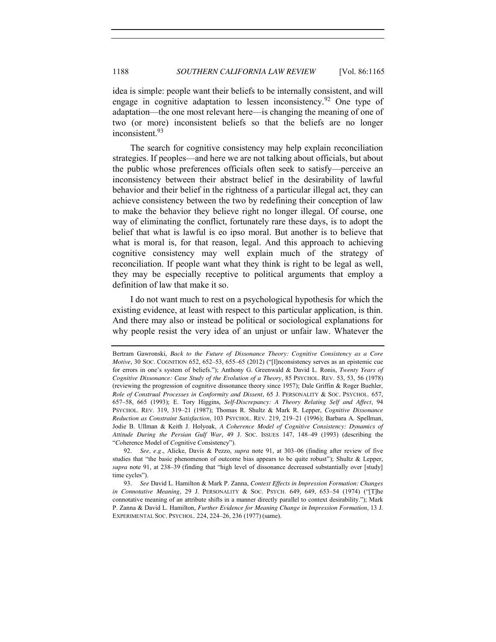idea is simple: people want their beliefs to be internally consistent, and will engage in cognitive adaptation to lessen inconsistency. <sup>92</sup> One type of adaptation—the one most relevant here—is changing the meaning of one of two (or more) inconsistent beliefs so that the beliefs are no longer inconsistent.93

The search for cognitive consistency may help explain reconciliation strategies. If peoples—and here we are not talking about officials, but about the public whose preferences officials often seek to satisfy—perceive an inconsistency between their abstract belief in the desirability of lawful behavior and their belief in the rightness of a particular illegal act, they can achieve consistency between the two by redefining their conception of law to make the behavior they believe right no longer illegal. Of course, one way of eliminating the conflict, fortunately rare these days, is to adopt the belief that what is lawful is eo ipso moral. But another is to believe that what is moral is, for that reason, legal. And this approach to achieving cognitive consistency may well explain much of the strategy of reconciliation. If people want what they think is right to be legal as well, they may be especially receptive to political arguments that employ a definition of law that make it so.

I do not want much to rest on a psychological hypothesis for which the existing evidence, at least with respect to this particular application, is thin. And there may also or instead be political or sociological explanations for why people resist the very idea of an unjust or unfair law. Whatever the

Bertram Gawronski, *Back to the Future of Dissonance Theory: Cognitive Consistency as a Core Motive*, 30 Soc. COGNITION 652, 652–53, 655–65 (2012) ("[I]nconsistency serves as an epistemic cue for errors in one's system of beliefs."); Anthony G. Greenwald & David L. Ronis, *Twenty Years of Cognitive Dissonance: Case Study of the Evolution of a Theory*, 85 PSYCHOL. REV. 53, 53, 56 (1978) (reviewing the progression of cognitive dissonance theory since 1957); Dale Griffin & Roger Buehler, *Role of Construal Processes in Conformity and Dissent*, 65 J. PERSONALITY & SOC. PSYCHOL. 657, 657–58, 665 (1993); E. Tory Higgins, *Self-Discrepancy: A Theory Relating Self and Affect*, 94 PSYCHOL. REV. 319, 319–21 (1987); Thomas R. Shultz & Mark R. Lepper, *Cognitive Dissonance Reduction as Constraint Satisfaction*, 103 PSYCHOL. REV. 219, 219–21 (1996); Barbara A. Spellman, Jodie B. Ullman & Keith J. Holyoak, *A Coherence Model of Cognitive Consistency: Dynamics of Attitude During the Persian Gulf War*, 49 J. SOC. ISSUES 147, 148–49 (1993) (describing the "*Co*herence Model of *Co*gnitive *Co*nsistency").

<sup>92.</sup> *See, e.g.*, Alicke, Davis & Pezzo, *supra* note [91,](#page-22-0) at 303–06 (finding after review of five studies that "the basic phenomenon of outcome bias appears to be quite robust"); Shultz & Lepper, *supra* note [91,](#page-22-0) at 238–39 (finding that "high level of dissonance decreased substantially over [study] time cycles").

<sup>93.</sup> *See* David L. Hamilton & Mark P. Zanna, *Context Effects in Impression Formation: Changes in Connotative Meaning*, 29 J. PERSONALITY & SOC. PSYCH. 649, 649, 653-54 (1974) ("[T]he connotative meaning of an attribute shifts in a manner directly parallel to context desirability."); Mark P. Zanna & David L. Hamilton, *Further Evidence for Meaning Change in Impression Formation*, 13 J. EXPERIMENTAL SOC. PSYCHOL. 224, 224–26, 236 (1977) (same).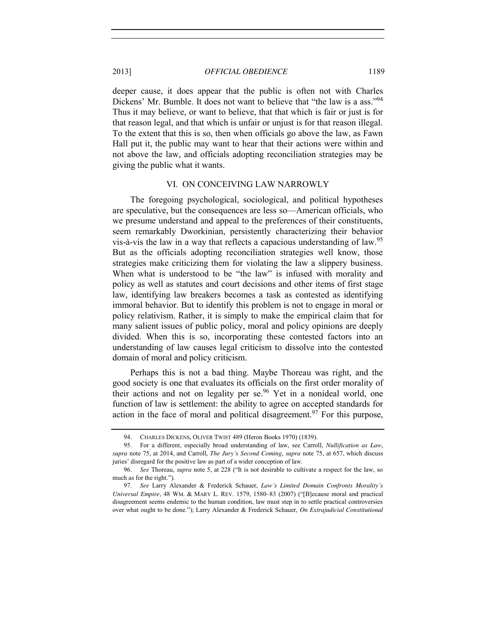deeper cause, it does appear that the public is often not with Charles Dickens' Mr. Bumble. It does not want to believe that "the law is a ass."<sup>94</sup> Thus it may believe, or want to believe, that that which is fair or just is for that reason legal, and that which is unfair or unjust is for that reason illegal. To the extent that this is so, then when officials go above the law, as Fawn Hall put it, the public may want to hear that their actions were within and not above the law, and officials adopting reconciliation strategies may be giving the public what it wants.

#### VI. ON CONCEIVING LAW NARROWLY

The foregoing psychological, sociological, and political hypotheses are speculative, but the consequences are less so—American officials, who we presume understand and appeal to the preferences of their constituents, seem remarkably Dworkinian, persistently characterizing their behavior vis-à-vis the law in a way that reflects a capacious understanding of law.<sup>95</sup> But as the officials adopting reconciliation strategies well know, those strategies make criticizing them for violating the law a slippery business. When what is understood to be "the law" is infused with morality and policy as well as statutes and court decisions and other items of first stage law, identifying law breakers becomes a task as contested as identifying immoral behavior. But to identify this problem is not to engage in moral or policy relativism. Rather, it is simply to make the empirical claim that for many salient issues of public policy, moral and policy opinions are deeply divided. When this is so, incorporating these contested factors into an understanding of law causes legal criticism to dissolve into the contested domain of moral and policy criticism.

Perhaps this is not a bad thing. Maybe Thoreau was right, and the good society is one that evaluates its officials on the first order morality of their actions and not on legality per se.<sup>96</sup> Yet in a nonideal world, one function of law is settlement: the ability to agree on accepted standards for action in the face of moral and political disagreement.<sup>97</sup> For this purpose,

<sup>94.</sup> CHARLES DICKENS, OLIVER TWIST 489 (Heron Books 1970) (1839).

<sup>95.</sup> For a different, especially broad understanding of law, see Carroll, *Nullification as Law*, *supra* note [75,](#page-19-0) at 2014, and Carroll, *The Jury's Second Coming*, *supra* note [75,](#page-19-0) at 657, which discuss juries' disregard for the positive law as part of a wider conception of law.

<sup>96.</sup> *See* Thoreau, *supra* not[e 5,](#page-1-1) at 228 ("It is not desirable to cultivate a respect for the law, so much as for the right.").

<sup>97.</sup> *See* Larry Alexander & Frederick Schauer, *Law's Limited Domain Confronts Morality's Universal Empire*, 48 WM. & MARY L. REV. 1579, 1580–83 (2007) ("[B]ecause moral and practical disagreement seems endemic to the human condition, law must step in to settle practical controversies over what ought to be done."); Larry Alexander & Frederick Schauer, *On Extrajudicial Constitutional*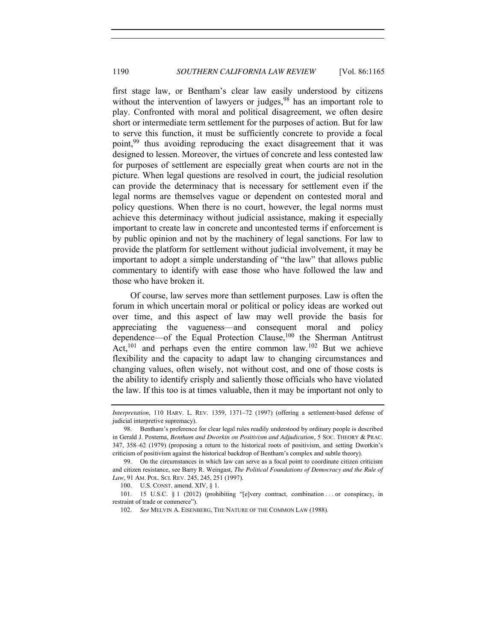first stage law, or Bentham's clear law easily understood by citizens without the intervention of lawyers or judges,  $98$  has an important role to play. Confronted with moral and political disagreement, we often desire short or intermediate term settlement for the purposes of action. But for law to serve this function, it must be sufficiently concrete to provide a focal point, <sup>99</sup> thus avoiding reproducing the exact disagreement that it was designed to lessen. Moreover, the virtues of concrete and less contested law for purposes of settlement are especially great when courts are not in the picture. When legal questions are resolved in court, the judicial resolution can provide the determinacy that is necessary for settlement even if the legal norms are themselves vague or dependent on contested moral and policy questions. When there is no court, however, the legal norms must achieve this determinacy without judicial assistance, making it especially important to create law in concrete and uncontested terms if enforcement is by public opinion and not by the machinery of legal sanctions. For law to provide the platform for settlement without judicial involvement, it may be important to adopt a simple understanding of "the law" that allows public commentary to identify with ease those who have followed the law and those who have broken it.

Of course, law serves more than settlement purposes. Law is often the forum in which uncertain moral or political or policy ideas are worked out over time, and this aspect of law may well provide the basis for appreciating the vagueness—and consequent moral and policy dependence—of the Equal Protection Clause,<sup>100</sup> the Sherman Antitrust Act, $101$  and perhaps even the entire common law. $102$  But we achieve flexibility and the capacity to adapt law to changing circumstances and changing values, often wisely, not without cost, and one of those costs is the ability to identify crisply and saliently those officials who have violated the law. If this too is at times valuable, then it may be important not only to

*Interpretation*, 110 HARV. L. REV. 1359, 1371–72 (1997) (offering a settlement-based defense of judicial interpretive supremacy).

<sup>98.</sup> Bentham's preference for clear legal rules readily understood by ordinary people is described in Gerald J. Postema, *Bentham and Dworkin on Positivism and Adjudication*, 5 SOC. THEORY & PRAC. 347, 358–62 (1979) (proposing a return to the historical roots of positivism, and setting Dworkin's criticism of positivism against the historical backdrop of Bentham's complex and subtle theory).

<sup>99.</sup> On the circumstances in which law can serve as a focal point to coordinate citizen criticism and citizen resistance, see Barry R. Weingast, *The Political Foundations of Democracy and the Rule of Law*, 91 AM. POL. SCI. REV. 245, 245, 251 (1997).

<sup>100.</sup> U.S. CONST. amend. XIV, § 1.

<sup>101.</sup> 15 U.S.C. § 1 (2012) (prohibiting "[e]very contract, combination . . . or conspiracy, in restraint of trade or commerce").

<sup>102.</sup> *See* MELVIN A. EISENBERG, THE NATURE OF THE COMMON LAW (1988).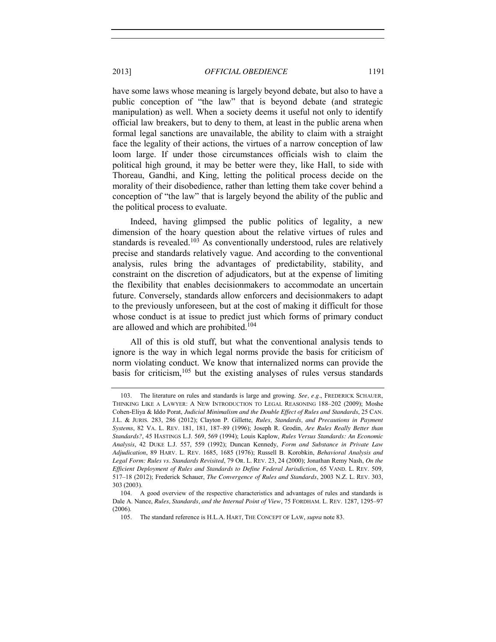have some laws whose meaning is largely beyond debate, but also to have a public conception of "the law" that is beyond debate (and strategic manipulation) as well. When a society deems it useful not only to identify official law breakers, but to deny to them, at least in the public arena when formal legal sanctions are unavailable, the ability to claim with a straight face the legality of their actions, the virtues of a narrow conception of law loom large. If under those circumstances officials wish to claim the political high ground, it may be better were they, like Hall, to side with Thoreau, Gandhi, and King, letting the political process decide on the morality of their disobedience, rather than letting them take cover behind a conception of "the law" that is largely beyond the ability of the public and the political process to evaluate.

Indeed, having glimpsed the public politics of legality, a new dimension of the hoary question about the relative virtues of rules and standards is revealed.<sup>103</sup> As conventionally understood, rules are relatively precise and standards relatively vague. And according to the conventional analysis, rules bring the advantages of predictability, stability, and constraint on the discretion of adjudicators, but at the expense of limiting the flexibility that enables decisionmakers to accommodate an uncertain future. Conversely, standards allow enforcers and decisionmakers to adapt to the previously unforeseen, but at the cost of making it difficult for those whose conduct is at issue to predict just which forms of primary conduct are allowed and which are prohibited.<sup>104</sup>

All of this is old stuff, but what the conventional analysis tends to ignore is the way in which legal norms provide the basis for criticism of norm violating conduct. We know that internalized norms can provide the basis for criticism,  $105$  but the existing analyses of rules versus standards

<sup>103.</sup> The literature on rules and standards is large and growing. *See, e.g.*, FREDERICK SCHAUER, THINKING LIKE A LAWYER: A NEW INTRODUCTION TO LEGAL REASONING 188–202 (2009); Moshe Cohen-Eliya & Iddo Porat, *Judicial Minimalism and the Double Effect of Rules and Standards*, 25 CAN. J.L. & JURIS. 283, 286 (2012); Clayton P. Gillette, *Rules, Standards, and Precautions in Payment Systems*, 82 VA. L. REV. 181, 181, 187–89 (1996); Joseph R. Grodin, *Are Rules Really Better than Standards?*, 45 HASTINGS L.J. 569, 569 (1994); Louis Kaplow, *Rules Versus Standards: An Economic Analysis*, 42 DUKE L.J. 557, 559 (1992); Duncan Kennedy, *Form and Substance in Private Law Adjudication*, 89 HARV. L. REV. 1685, 1685 (1976); Russell B. Korobkin, *Behavioral Analysis and Legal Form: Rules vs. Standards Revisited*, 79 OR. L. REV. 23, 24 (2000); Jonathan Remy Nash, *On the Efficient Deployment of Rules and Standards to Define Federal Jurisdiction*, 65 VAND. L. REV. 509, 517–18 (2012); Frederick Schauer, *The Convergence of Rules and Standards*, 2003 N.Z. L. REV. 303, 303 (2003).

<sup>104.</sup> A good overview of the respective characteristics and advantages of rules and standards is Dale A. Nance, *Rules, Standards, and the Internal Point of View*, 75 FORDHAM. L. REV. 1287, 1295–97 (2006).

<sup>105.</sup> The standard reference is H.L.A. HART, THE CONCEPT OF LAW, *supra* not[e 83.](#page-21-1)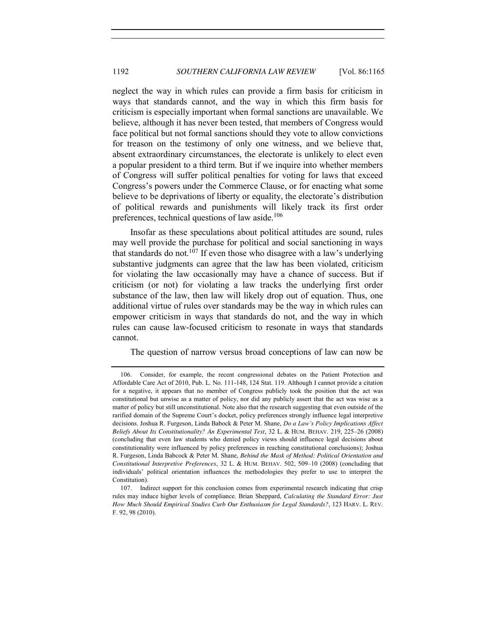neglect the way in which rules can provide a firm basis for criticism in ways that standards cannot, and the way in which this firm basis for criticism is especially important when formal sanctions are unavailable. We believe, although it has never been tested, that members of Congress would face political but not formal sanctions should they vote to allow convictions for treason on the testimony of only one witness, and we believe that, absent extraordinary circumstances, the electorate is unlikely to elect even a popular president to a third term. But if we inquire into whether members of Congress will suffer political penalties for voting for laws that exceed Congress's powers under the Commerce Clause, or for enacting what some believe to be deprivations of liberty or equality, the electorate's distribution of political rewards and punishments will likely track its first order preferences, technical questions of law aside. $106$ 

Insofar as these speculations about political attitudes are sound, rules may well provide the purchase for political and social sanctioning in ways that standards do not.<sup>107</sup> If even those who disagree with a law's underlying substantive judgments can agree that the law has been violated, criticism for violating the law occasionally may have a chance of success. But if criticism (or not) for violating a law tracks the underlying first order substance of the law, then law will likely drop out of equation. Thus, one additional virtue of rules over standards may be the way in which rules can empower criticism in ways that standards do not, and the way in which rules can cause law-focused criticism to resonate in ways that standards cannot.

The question of narrow versus broad conceptions of law can now be

<sup>106.</sup> Consider, for example, the recent congressional debates on the Patient Protection and Affordable Care Act of 2010, Pub. L. No. 111-148, 124 Stat. 119. Although I cannot provide a citation for a negative, it appears that no member of Congress publicly took the position that the act was constitutional but unwise as a matter of policy, nor did any publicly assert that the act was wise as a matter of policy but still unconstitutional. Note also that the research suggesting that even outside of the rarified domain of the Supreme Court's docket, policy preferences strongly influence legal interpretive decisions. Joshua R. Furgeson, Linda Babock & Peter M. Shane, *Do a Law's Policy Implications Affect Beliefs About Its Constitutionality? An Experimental Test*, 32 L. & HUM. BEHAV. 219, 225–26 (2008) (concluding that even law students who denied policy views should influence legal decisions about constitutionality were influenced by policy preferences in reaching constitutional conclusions); Joshua R. Furgeson, Linda Babcock & Peter M. Shane, *Behind the Mask of Method: Political Orientation and Constitutional Interpretive Preferences*, 32 L. & HUM. BEHAV. 502, 509–10 (2008) (concluding that individuals' political orientation influences the methodologies they prefer to use to interpret the Constitution).

<sup>107.</sup> Indirect support for this conclusion comes from experimental research indicating that crisp rules may induce higher levels of compliance. Brian Sheppard, *Calculating the Standard Error: Just How Much Should Empirical Studies Curb Our Enthusiasm for Legal Standards?*, 123 HARV. L. REV. F. 92, 98 (2010).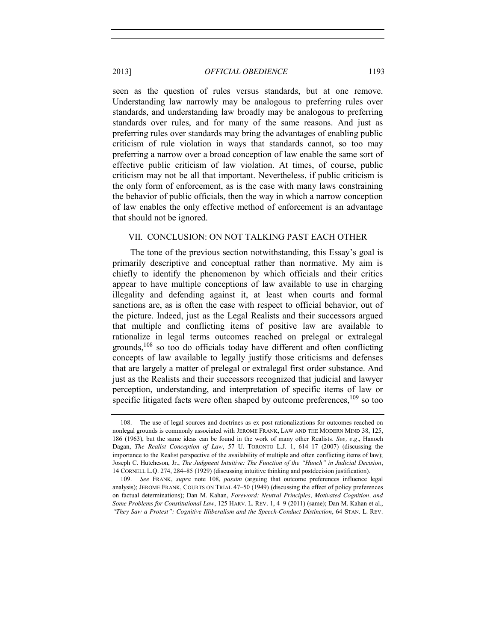seen as the question of rules versus standards, but at one remove. Understanding law narrowly may be analogous to preferring rules over standards, and understanding law broadly may be analogous to preferring standards over rules, and for many of the same reasons. And just as preferring rules over standards may bring the advantages of enabling public criticism of rule violation in ways that standards cannot, so too may preferring a narrow over a broad conception of law enable the same sort of effective public criticism of law violation. At times, of course, public criticism may not be all that important. Nevertheless, if public criticism is the only form of enforcement, as is the case with many laws constraining the behavior of public officials, then the way in which a narrow conception of law enables the only effective method of enforcement is an advantage that should not be ignored.

## VII. CONCLUSION: ON NOT TALKING PAST EACH OTHER

The tone of the previous section notwithstanding, this Essay's goal is primarily descriptive and conceptual rather than normative. My aim is chiefly to identify the phenomenon by which officials and their critics appear to have multiple conceptions of law available to use in charging illegality and defending against it, at least when courts and formal sanctions are, as is often the case with respect to official behavior, out of the picture. Indeed, just as the Legal Realists and their successors argued that multiple and conflicting items of positive law are available to rationalize in legal terms outcomes reached on prelegal or extralegal grounds,108 so too do officials today have different and often conflicting concepts of law available to legally justify those criticisms and defenses that are largely a matter of prelegal or extralegal first order substance. And just as the Realists and their successors recognized that judicial and lawyer perception, understanding, and interpretation of specific items of law or specific litigated facts were often shaped by outcome preferences,<sup>109</sup> so too

<span id="page-28-0"></span><sup>108.</sup> The use of legal sources and doctrines as ex post rationalizations for outcomes reached on nonlegal grounds is commonly associated with JEROME FRANK, LAW AND THE MODERN MIND 38, 125, 186 (1963), but the same ideas can be found in the work of many other Realists. *See, e.g.*, Hanoch Dagan, *The Realist Conception of Law*, 57 U. TORONTO L.J. 1, 614–17 (2007) (discussing the importance to the Realist perspective of the availability of multiple and often conflicting items of law); Joseph C. Hutcheson, Jr., *The Judgment Intuitive: The Function of the "Hunch" in Judicial Decision*, 14 CORNELL L.Q. 274, 284–85 (1929) (discussing intuitive thinking and postdecision justification).

<sup>109.</sup> *See* FRANK, *supra* note [108,](#page-28-0) *passim* (arguing that outcome preferences influence legal analysis); JEROME FRANK, COURTS ON TRIAL 47–50 (1949) (discussing the effect of policy preferences on factual determinations); Dan M. Kahan, *Foreword: Neutral Principles, Motivated Cognition, and Some Problems for Constitutional Law*, 125 HARV. L. REV. 1, 4–9 (2011) (same); Dan M. Kahan et al., *"They Saw a Protest": Cognitive Illiberalism and the Speech-Conduct Distinction*, 64 STAN. L. REV.